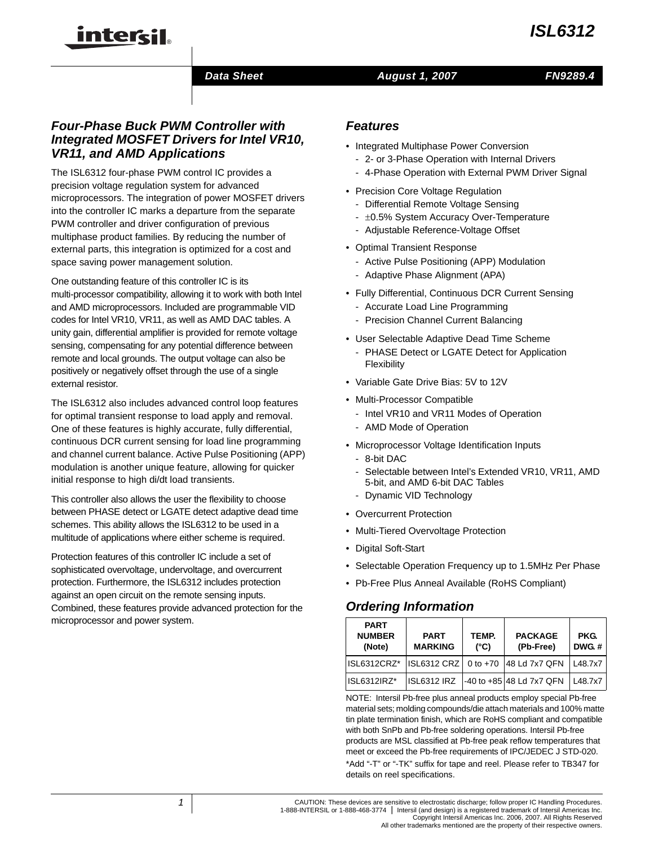### *Data Sheet*

### *August 1, 2007*

### *Four-Phase Buck PWM Controller with Integrated MOSFET Drivers for Intel VR10, VR11, and AMD Applications*

inter<del>cil</del>

The ISL6312 four-phase PWM control IC provides a precision voltage regulation system for advanced microprocessors. The integration of power MOSFET drivers into the controller IC marks a departure from the separate PWM controller and driver configuration of previous multiphase product families. By reducing the number of external parts, this integration is optimized for a cost and space saving power management solution.

One outstanding feature of this controller IC is its multi-processor compatibility, allowing it to work with both Intel and AMD microprocessors. Included are programmable VID codes for Intel VR10, VR11, as well as AMD DAC tables. A unity gain, differential amplifier is provided for remote voltage sensing, compensating for any potential difference between remote and local grounds. The output voltage can also be positively or negatively offset through the use of a single external resistor.

The ISL6312 also includes advanced control loop features for optimal transient response to load apply and removal. One of these features is highly accurate, fully differential, continuous DCR current sensing for load line programming and channel current balance. Active Pulse Positioning (APP) modulation is another unique feature, allowing for quicker initial response to high di/dt load transients.

This controller also allows the user the flexibility to choose between PHASE detect or LGATE detect adaptive dead time schemes. This ability allows the ISL6312 to be used in a multitude of applications where either scheme is required.

Protection features of this controller IC include a set of sophisticated overvoltage, undervoltage, and overcurrent protection. Furthermore, the ISL6312 includes protection against an open circuit on the remote sensing inputs. Combined, these features provide advanced protection for the microprocessor and power system.

### *Features*

- Integrated Multiphase Power Conversion
	- 2- or 3-Phase Operation with Internal Drivers
	- 4-Phase Operation with External PWM Driver Signal
- Precision Core Voltage Regulation
	- Differential Remote Voltage Sensing
	- ±0.5% System Accuracy Over-Temperature
	- Adjustable Reference-Voltage Offset
- Optimal Transient Response
	- Active Pulse Positioning (APP) Modulation
	- Adaptive Phase Alignment (APA)
- Fully Differential, Continuous DCR Current Sensing
	- Accurate Load Line Programming
	- Precision Channel Current Balancing
- User Selectable Adaptive Dead Time Scheme
	- PHASE Detect or LGATE Detect for Application Flexibility
- Variable Gate Drive Bias: 5V to 12V
- Multi-Processor Compatible
	- Intel VR10 and VR11 Modes of Operation
	- AMD Mode of Operation
- Microprocessor Voltage Identification Inputs
	- 8-bit DAC
	- Selectable between Intel's Extended VR10, VR11, AMD 5-bit, and AMD 6-bit DAC Tables
	- Dynamic VID Technology
- Overcurrent Protection
- Multi-Tiered Overvoltage Protection
- Digital Soft-Start
- Selectable Operation Frequency up to 1.5MHz Per Phase
- Pb-Free Plus Anneal Available (RoHS Compliant)

## *Ordering Information*

| <b>PART</b><br><b>NUMBER</b><br>(Note) | <b>PART</b><br><b>MARKING</b> | TEMP.<br>$(^{\circ}C)$ | <b>PACKAGE</b><br>(Pb-Free) | PKG.<br>DWG.# |  |
|----------------------------------------|-------------------------------|------------------------|-----------------------------|---------------|--|
| ISL6312CRZ*                            | <b>ISL6312 CRZ</b>            | 0 to $+70$             | 48 Ld 7x7 QFN               | L48.7x7       |  |
| ISL6312IRZ*                            | ISL6312 IRZ                   |                        | -40 to +85 48 Ld 7x7 QFN    | L48.7x7       |  |

NOTE: Intersil Pb-free plus anneal products employ special Pb-free material sets; molding compounds/die attach materials and 100% matte tin plate termination finish, which are RoHS compliant and compatible with both SnPb and Pb-free soldering operations. Intersil Pb-free products are MSL classified at Pb-free peak reflow temperatures that meet or exceed the Pb-free requirements of IPC/JEDEC J STD-020. [\\*Add "-T" or "-TK" suffix for tape and reel. Please refer to TB347 for](http://www.intersil.com/data/tb/tb347.pdf)  details on reel specifications.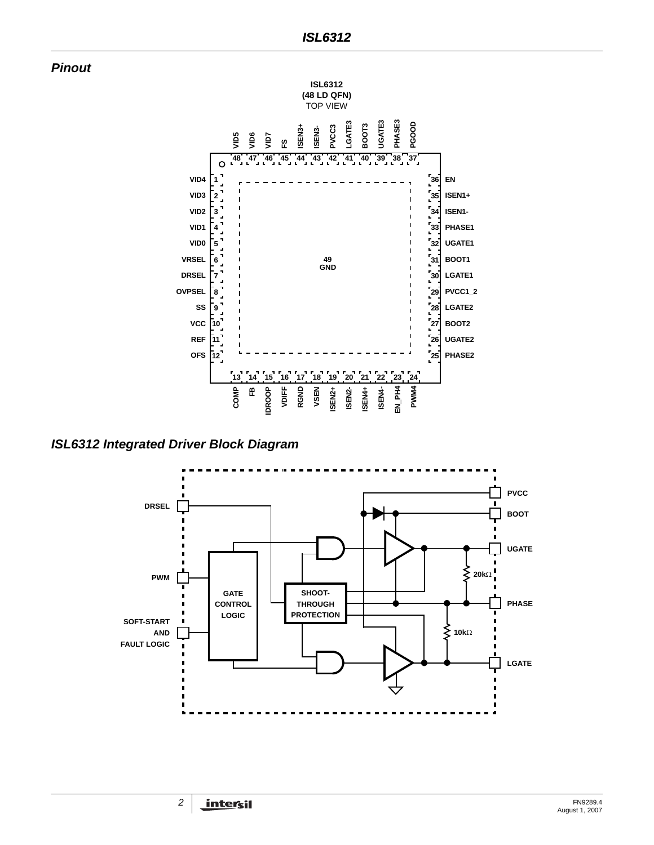*Pinout*



*ISL6312 Integrated Driver Block Diagram*

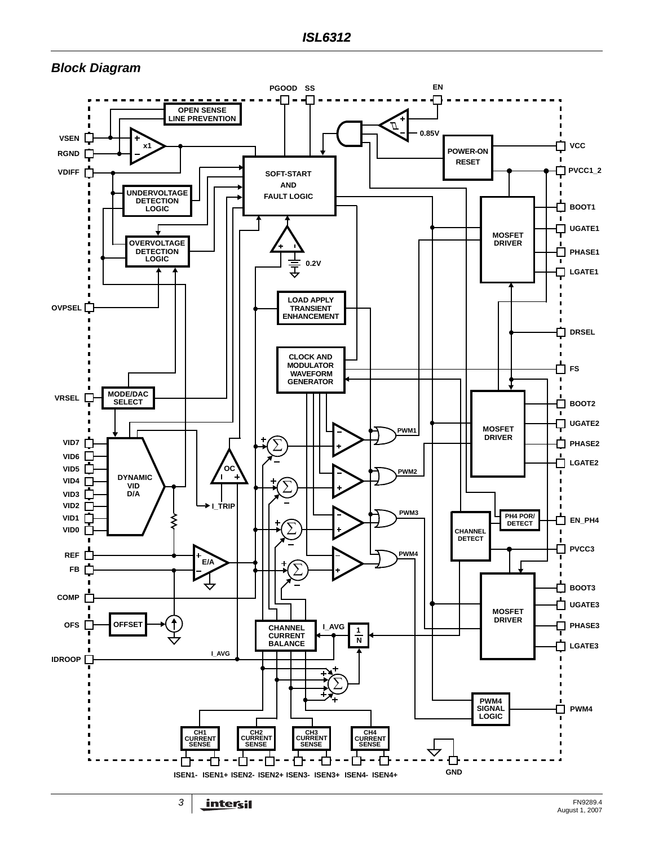## *Block Diagram*

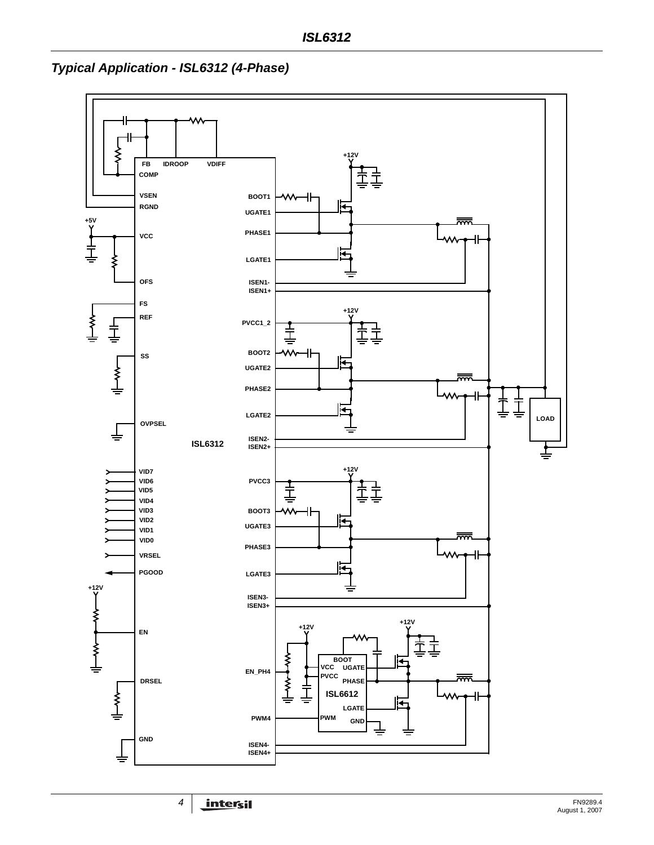

*Typical Application - ISL6312 (4-Phase)*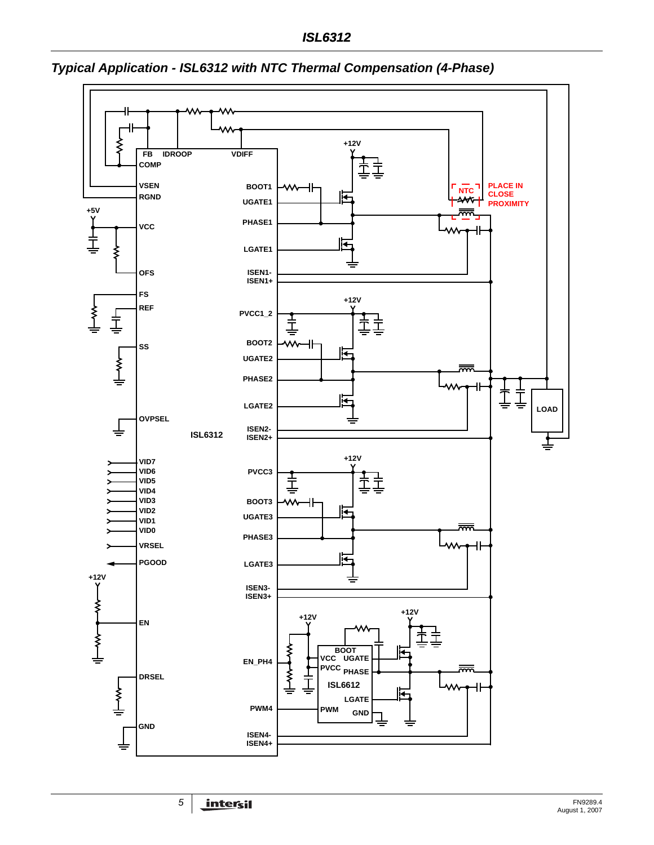

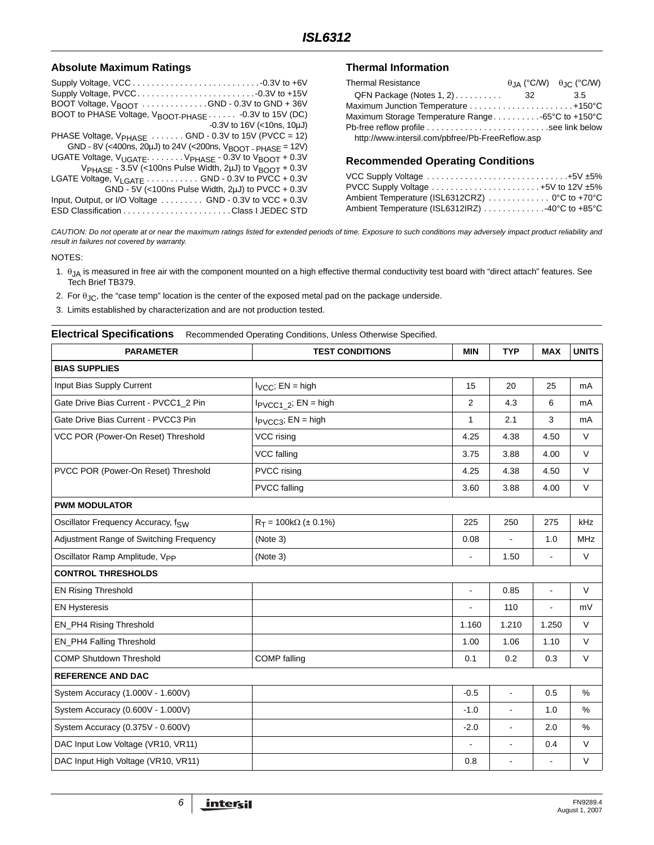#### **Absolute Maximum Ratings**

| BOOT Voltage, $V_{\text{BNOT}}$ GND - 0.3V to GND + 36V                         |
|---------------------------------------------------------------------------------|
| BOOT to PHASE Voltage, V <sub>BOOT-PHASE</sub> - 0.3V to 15V (DC)               |
| $-0.3V$ to 16V (<10ns, 10µJ)                                                    |
| PHASE Voltage, $V_{PHASE}$ GND - 0.3V to 15V (PVCC = 12)                        |
| GND - 8V (<400ns, 20µJ) to 24V (<200ns, $V_{\text{BOOT}}$ - PHASE = 12V)        |
| UGATE Voltage, $V_{UGATE}$ $V_{PHASE}$ - 0.3V to $V_{BOOT}$ + 0.3V              |
| V <sub>PHASE</sub> - 3.5V (<100ns Pulse Width, 2µJ) to V <sub>BOOT</sub> + 0.3V |
| LGATE Voltage, V <sub>LGATE</sub> GND - 0.3V to PVCC + 0.3V                     |
| GND - 5V (<100ns Pulse Width, 2µJ) to PVCC + 0.3V                               |
| Input, Output, or I/O Voltage GND - 0.3V to VCC + 0.3V                          |
|                                                                                 |

#### **Thermal Information**

| <b>Thermal Resistance</b>                        |      | $\theta$ JA (°C/W) $\theta$ JC (°C/W) |
|--------------------------------------------------|------|---------------------------------------|
| $QFN$ Package (Notes 1, 2) $\dots \dots$         | - 32 | 3.5                                   |
|                                                  |      |                                       |
| Maximum Storage Temperature Range65°C to +150°C  |      |                                       |
|                                                  |      |                                       |
| http://www.intersil.com/pbfree/Pb-FreeReflow.asp |      |                                       |

#### **Recommended Operating Conditions**

| VCC Supply Voltage $\ldots \ldots \ldots \ldots \ldots \ldots \ldots \ldots \ldots \ldots +5V \pm 5\%$ |  |
|--------------------------------------------------------------------------------------------------------|--|
| PVCC Supply Voltage $\ldots \ldots \ldots \ldots \ldots \ldots \ldots +5V$ to 12V $\pm 5\%$            |  |
| Ambient Temperature (ISL6312CRZ) 0°C to +70°C                                                          |  |
| Ambient Temperature (ISL6312IRZ) 40°C to +85°C                                                         |  |

*CAUTION: Do not operate at or near the maximum ratings listed for extended periods of time. Exposure to such conditions may adversely impact product reliability and result in failures not covered by warranty.*

NOTES:

- <span id="page-5-0"></span>1.  $\theta_{JA}$  is measured in free air with the component mounted on a high effective thermal conductivity test board with "direct attach" features. See Tech Brief TB379.
- <span id="page-5-1"></span>2. For  $\theta_{JC}$ , the "case temp" location is the center of the exposed metal pad on the package underside.
- 3. Limits established by characterization and are not production tested.

#### <span id="page-5-2"></span>**Electrical Specifications** Recommended Operating Conditions, Unless Otherwise Specified.

| <b>PARAMETER</b>                           | <b>TEST CONDITIONS</b>         | <b>MIN</b>               | <b>TYP</b>     | <b>MAX</b>     | <b>UNITS</b> |
|--------------------------------------------|--------------------------------|--------------------------|----------------|----------------|--------------|
| <b>BIAS SUPPLIES</b>                       |                                |                          |                |                |              |
| Input Bias Supply Current                  | $I_{VCC}$ ; EN = high          | 15                       | 20             | 25             | mA           |
| Gate Drive Bias Current - PVCC1 2 Pin      | $I_{PVCC1}$ 2; EN = high       | 2                        | 4.3            | 6              | mA           |
| Gate Drive Bias Current - PVCC3 Pin        | $I_{PVCC3}$ ; EN = high        | $\mathbf{1}$             | 2.1            | 3              | mA           |
| VCC POR (Power-On Reset) Threshold         | VCC rising                     | 4.25                     | 4.38           | 4.50           | $\vee$       |
|                                            | VCC falling                    | 3.75                     | 3.88           | 4.00           | V            |
| PVCC POR (Power-On Reset) Threshold        | PVCC rising                    | 4.25                     | 4.38           | 4.50           | V            |
|                                            | <b>PVCC</b> falling            | 3.60                     | 3.88           | 4.00           | V            |
| <b>PWM MODULATOR</b>                       |                                |                          |                |                |              |
| Oscillator Frequency Accuracy, fsw         | $R_T = 100k\Omega (\pm 0.1\%)$ | 225                      | 250            | 275            | kHz          |
| Adjustment Range of Switching Frequency    | (Note 3)                       | 0.08                     | $\blacksquare$ | 1.0            | <b>MHz</b>   |
| Oscillator Ramp Amplitude, V <sub>PP</sub> | (Note 3)                       | $\overline{\phantom{a}}$ | 1.50           | $\blacksquare$ | $\vee$       |
| <b>CONTROL THRESHOLDS</b>                  |                                |                          |                |                |              |
| <b>EN Rising Threshold</b>                 |                                | $\blacksquare$           | 0.85           | $\overline{a}$ | V            |
| <b>EN Hysteresis</b>                       |                                | $\overline{\phantom{a}}$ | 110            | $\blacksquare$ | mV           |
| EN_PH4 Rising Threshold                    |                                | 1.160                    | 1.210          | 1.250          | V            |
| EN_PH4 Falling Threshold                   |                                | 1.00                     | 1.06           | 1.10           | V            |
| <b>COMP Shutdown Threshold</b>             | COMP falling                   | 0.1                      | 0.2            | 0.3            | V            |
| <b>REFERENCE AND DAC</b>                   |                                |                          |                |                |              |
| System Accuracy (1.000V - 1.600V)          |                                | $-0.5$                   | $\blacksquare$ | 0.5            | %            |
| System Accuracy (0.600V - 1.000V)          |                                | $-1.0$                   | $\blacksquare$ | 1.0            | %            |
| System Accuracy (0.375V - 0.600V)          |                                | $-2.0$                   | $\blacksquare$ | 2.0            | %            |
| DAC Input Low Voltage (VR10, VR11)         |                                | $\blacksquare$           | $\blacksquare$ | 0.4            | V            |
| DAC Input High Voltage (VR10, VR11)        |                                | 0.8                      | $\blacksquare$ | $\blacksquare$ | V            |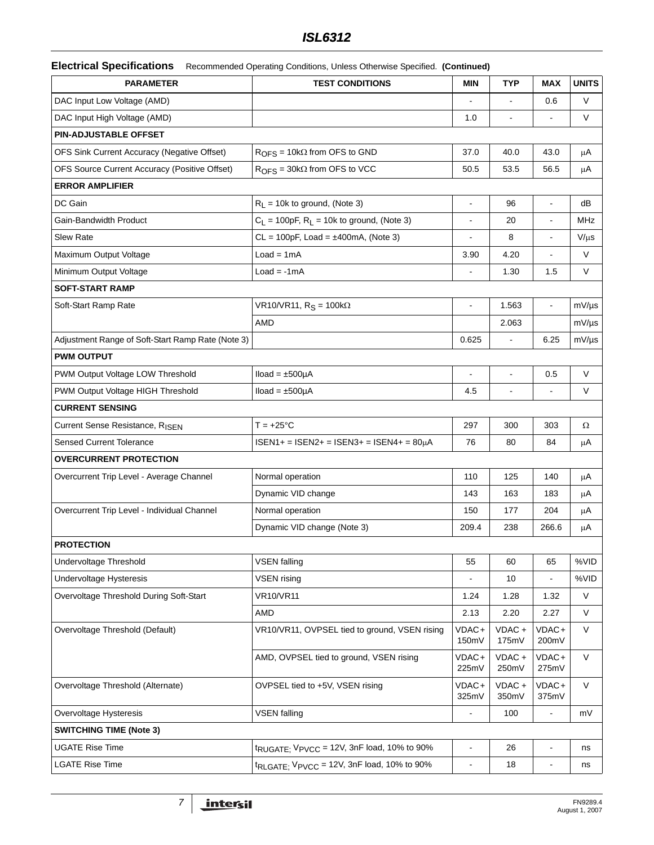# *ISL6312*

| <b>Electrical Specifications</b> | Recommended Operating Conditions, Unless Otherwise Specified. (Continued) |  |  |  |
|----------------------------------|---------------------------------------------------------------------------|--|--|--|
|----------------------------------|---------------------------------------------------------------------------|--|--|--|

| <b>PARAMETER</b>                                  | <b>TEST CONDITIONS</b>                                              | <b>MIN</b>     | <b>TYP</b>      | <b>MAX</b>               | <b>UNITS</b> |
|---------------------------------------------------|---------------------------------------------------------------------|----------------|-----------------|--------------------------|--------------|
| DAC Input Low Voltage (AMD)                       |                                                                     |                | $\blacksquare$  | 0.6                      | $\vee$       |
| DAC Input High Voltage (AMD)                      |                                                                     | 1.0            |                 |                          | V            |
| PIN-ADJUSTABLE OFFSET                             |                                                                     |                |                 |                          |              |
| OFS Sink Current Accuracy (Negative Offset)       | $ROFS = 10k\Omega$ from OFS to GND                                  | 37.0           | 40.0            | 43.0                     | μA           |
| OFS Source Current Accuracy (Positive Offset)     | $ROFS = 30k\Omega$ from OFS to VCC                                  | 50.5           | 53.5            | 56.5                     | μA           |
| <b>ERROR AMPLIFIER</b>                            |                                                                     |                |                 |                          |              |
| DC Gain                                           | $R_1 = 10k$ to ground, (Note 3)                                     | $\blacksquare$ | 96              | $\overline{\phantom{a}}$ | dB           |
| Gain-Bandwidth Product                            | $C_L$ = 100pF, $R_L$ = 10k to ground, (Note 3)                      |                | 20              |                          | MHz          |
| <b>Slew Rate</b>                                  | $CL = 100pF$ , Load = $\pm 400mA$ , (Note 3)                        |                | 8               |                          | $V/\mu s$    |
| Maximum Output Voltage                            | $Load = 1mA$                                                        | 3.90           | 4.20            | $\overline{a}$           | $\vee$       |
| Minimum Output Voltage                            | $Load = -1mA$                                                       |                | 1.30            | 1.5                      | V            |
| <b>SOFT-START RAMP</b>                            |                                                                     |                |                 |                          |              |
| Soft-Start Ramp Rate                              | VR10/VR11, $R_S = 100k\Omega$                                       | $\blacksquare$ | 1.563           | $\blacksquare$           | $mV/\mu s$   |
|                                                   | AMD                                                                 |                | 2.063           |                          | $mV/\mu s$   |
| Adjustment Range of Soft-Start Ramp Rate (Note 3) |                                                                     | 0.625          | $\blacksquare$  | 6.25                     | $mV/\mu s$   |
| <b>PWM OUTPUT</b>                                 |                                                                     |                |                 |                          |              |
| PWM Output Voltage LOW Threshold                  | $Iload = ±500 \mu A$                                                |                |                 | 0.5                      | $\vee$       |
| PWM Output Voltage HIGH Threshold                 | $Iload = ±500 \mu A$                                                | 4.5            |                 |                          | V            |
| <b>CURRENT SENSING</b>                            |                                                                     |                |                 |                          |              |
| Current Sense Resistance, R <sub>ISEN</sub>       | $T = +25^{\circ}C$                                                  | 297            | 300             | 303                      | Ω            |
| <b>Sensed Current Tolerance</b>                   | $ISBN1+ = ISBN2+ = ISBN3+ =$ ISEN4+ = 80µA                          | 76             | 80              | 84                       | μA           |
| <b>OVERCURRENT PROTECTION</b>                     |                                                                     |                |                 |                          |              |
| Overcurrent Trip Level - Average Channel          | Normal operation                                                    | 110            | 125             | 140                      | $\mu A$      |
|                                                   | Dynamic VID change                                                  | 143            | 163             | 183                      | μA           |
| Overcurrent Trip Level - Individual Channel       | Normal operation                                                    | 150            | 177             | 204                      | μA           |
|                                                   | Dynamic VID change (Note 3)                                         | 209.4          | 238             | 266.6                    | μA           |
| <b>PROTECTION</b>                                 |                                                                     |                |                 |                          |              |
| Undervoltage Threshold                            | <b>VSEN falling</b>                                                 | 55             | 60              | 65                       | %VID         |
| Undervoltage Hysteresis                           | <b>VSEN</b> rising                                                  |                | 10              |                          | %VID         |
| Overvoltage Threshold During Soft-Start           | <b>VR10/VR11</b>                                                    | 1.24           | 1.28            | 1.32                     | $\vee$       |
|                                                   | AMD                                                                 | 2.13           | 2.20            | 2.27                     | $\vee$       |
| Overvoltage Threshold (Default)                   | VR10/VR11, OVPSEL tied to ground, VSEN rising                       | VDAC+<br>150mV | VDAC+<br>175mV  | VDAC+<br>200mV           | $\vee$       |
|                                                   | AMD, OVPSEL tied to ground, VSEN rising                             | VDAC+<br>225mV | VDAC+<br>250mV  | VDAC+<br>275mV           | V            |
| Overvoltage Threshold (Alternate)                 | OVPSEL tied to +5V, VSEN rising                                     | VDAC+<br>325mV | VDAC +<br>350mV | VDAC+<br>375mV           | V            |
| Overvoltage Hysteresis                            | <b>VSEN falling</b>                                                 |                | 100             |                          | mV           |
| <b>SWITCHING TIME (Note 3)</b>                    |                                                                     |                |                 |                          |              |
| <b>UGATE Rise Time</b>                            | $t_{\text{RUGATE}}$ ; $V_{\text{PVCC}}$ = 12V, 3nF load, 10% to 90% | $\blacksquare$ | 26              | $\blacksquare$           | ns           |
| <b>LGATE Rise Time</b>                            | $t_{\text{RLGATE}}$ ; $V_{\text{PVCC}}$ = 12V, 3nF load, 10% to 90% | $\blacksquare$ | 18              | $\overline{\phantom{a}}$ | ns           |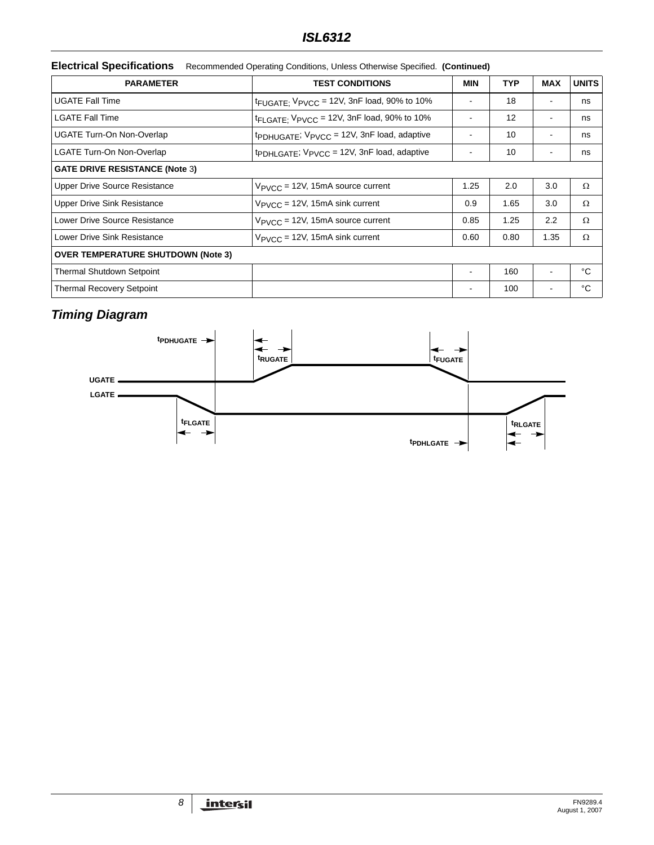|  | Electrical Specifications Recommended Operating Conditions, Unless Otherwise Specified. (Continued) |  |  |
|--|-----------------------------------------------------------------------------------------------------|--|--|
|--|-----------------------------------------------------------------------------------------------------|--|--|

| <b>PARAMETER</b><br><b>TEST CONDITIONS</b> |                                                                     | <b>MIN</b> | <b>TYP</b> | <b>MAX</b>     | <b>UNITS</b> |
|--------------------------------------------|---------------------------------------------------------------------|------------|------------|----------------|--------------|
| <b>UGATE Fall Time</b>                     | $t_{\text{FUGATE}}$ ; $V_{\text{PVCC}}$ = 12V, 3nF load, 90% to 10% |            | 18         |                | ns           |
| <b>LGATE Fall Time</b>                     | $t_{\text{FLGATE}}$ ; $V_{\text{PVCC}}$ = 12V, 3nF load, 90% to 10% |            | 12         |                | ns           |
| <b>UGATE Turn-On Non-Overlap</b>           | tpDHUGATE; VPVCC = 12V, 3nF load, adaptive                          |            | 10         |                | ns           |
| <b>LGATE Turn-On Non-Overlap</b>           | tpDHLGATE; VPVCC = 12V, 3nF load, adaptive                          |            | 10         |                | ns           |
| <b>GATE DRIVE RESISTANCE (Note 3)</b>      |                                                                     |            |            |                |              |
| <b>Upper Drive Source Resistance</b>       | $V_{\text{PVCC}}$ = 12V, 15mA source current                        | 1.25       | 2.0        | 3.0            | $\Omega$     |
| Upper Drive Sink Resistance                | $V_{\text{PVCC}} = 12V$ , 15mA sink current                         | 0.9        | 1.65       | 3.0            | $\Omega$     |
| Lower Drive Source Resistance              | $V_{\text{PVCC}}$ = 12V, 15mA source current                        | 0.85       | 1.25       | 2.2            | Ω            |
| Lower Drive Sink Resistance                | $V_{PVCC}$ = 12V, 15mA sink current                                 | 0.60       | 0.80       | 1.35           | Ω            |
| <b>OVER TEMPERATURE SHUTDOWN (Note 3)</b>  |                                                                     |            |            |                |              |
| <b>Thermal Shutdown Setpoint</b>           |                                                                     |            | 160        | $\blacksquare$ | °C           |
| <b>Thermal Recovery Setpoint</b>           |                                                                     |            | 100        | $\blacksquare$ | °C           |

# *Timing Diagram*

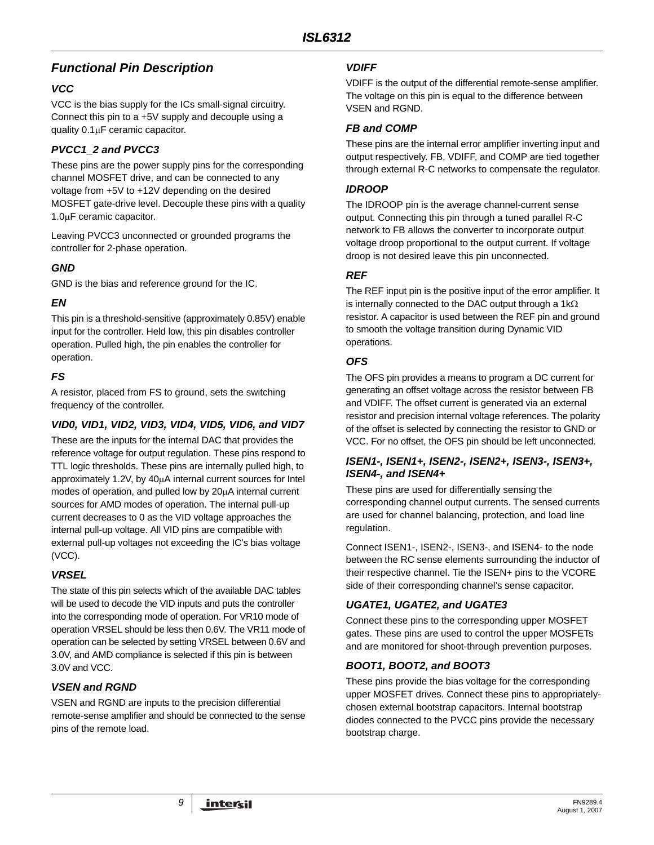## *Functional Pin Description*

### *VCC*

VCC is the bias supply for the ICs small-signal circuitry. Connect this pin to a +5V supply and decouple using a quality 0.1μF ceramic capacitor.

### *PVCC1\_2 and PVCC3*

These pins are the power supply pins for the corresponding channel MOSFET drive, and can be connected to any voltage from +5V to +12V depending on the desired MOSFET gate-drive level. Decouple these pins with a quality 1.0μF ceramic capacitor.

Leaving PVCC3 unconnected or grounded programs the controller for 2-phase operation.

### *GND*

GND is the bias and reference ground for the IC.

### *EN*

This pin is a threshold-sensitive (approximately 0.85V) enable input for the controller. Held low, this pin disables controller operation. Pulled high, the pin enables the controller for operation.

### *FS*

A resistor, placed from FS to ground, sets the switching frequency of the controller.

### *VID0, VID1, VID2, VID3, VID4, VID5, VID6, and VID7*

These are the inputs for the internal DAC that provides the reference voltage for output regulation. These pins respond to TTL logic thresholds. These pins are internally pulled high, to approximately 1.2V, by 40μA internal current sources for Intel modes of operation, and pulled low by 20μA internal current sources for AMD modes of operation. The internal pull-up current decreases to 0 as the VID voltage approaches the internal pull-up voltage. All VID pins are compatible with external pull-up voltages not exceeding the IC's bias voltage (VCC).

### *VRSEL*

The state of this pin selects which of the available DAC tables will be used to decode the VID inputs and puts the controller into the corresponding mode of operation. For VR10 mode of operation VRSEL should be less then 0.6V. The VR11 mode of operation can be selected by setting VRSEL between 0.6V and 3.0V, and AMD compliance is selected if this pin is between 3.0V and VCC.

### *VSEN and RGND*

VSEN and RGND are inputs to the precision differential remote-sense amplifier and should be connected to the sense pins of the remote load.

### *VDIFF*

VDIFF is the output of the differential remote-sense amplifier. The voltage on this pin is equal to the difference between VSEN and RGND.

### *FB and COMP*

These pins are the internal error amplifier inverting input and output respectively. FB, VDIFF, and COMP are tied together through external R-C networks to compensate the regulator.

### *IDROOP*

The IDROOP pin is the average channel-current sense output. Connecting this pin through a tuned parallel R-C network to FB allows the converter to incorporate output voltage droop proportional to the output current. If voltage droop is not desired leave this pin unconnected.

### *REF*

The REF input pin is the positive input of the error amplifier. It is internally connected to the DAC output through a  $1k\Omega$ resistor. A capacitor is used between the REF pin and ground to smooth the voltage transition during Dynamic VID operations.

### *OFS*

The OFS pin provides a means to program a DC current for generating an offset voltage across the resistor between FB and VDIFF. The offset current is generated via an external resistor and precision internal voltage references. The polarity of the offset is selected by connecting the resistor to GND or VCC. For no offset, the OFS pin should be left unconnected.

### *ISEN1-, ISEN1+, ISEN2-, ISEN2+, ISEN3-, ISEN3+, ISEN4-, and ISEN4+*

These pins are used for differentially sensing the corresponding channel output currents. The sensed currents are used for channel balancing, protection, and load line regulation.

Connect ISEN1-, ISEN2-, ISEN3-, and ISEN4- to the node between the RC sense elements surrounding the inductor of their respective channel. Tie the ISEN+ pins to the VCORE side of their corresponding channel's sense capacitor.

### *UGATE1, UGATE2, and UGATE3*

Connect these pins to the corresponding upper MOSFET gates. These pins are used to control the upper MOSFETs and are monitored for shoot-through prevention purposes.

### *BOOT1, BOOT2, and BOOT3*

These pins provide the bias voltage for the corresponding upper MOSFET drives. Connect these pins to appropriatelychosen external bootstrap capacitors. Internal bootstrap diodes connected to the PVCC pins provide the necessary bootstrap charge.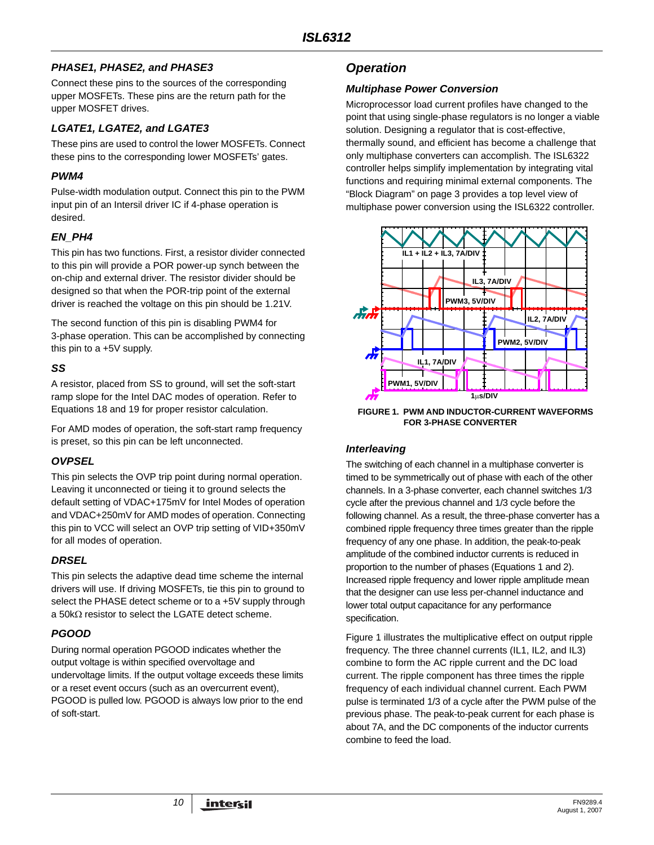### *PHASE1, PHASE2, and PHASE3*

Connect these pins to the sources of the corresponding upper MOSFETs. These pins are the return path for the upper MOSFET drives.

### *LGATE1, LGATE2, and LGATE3*

These pins are used to control the lower MOSFETs. Connect these pins to the corresponding lower MOSFETs' gates.

### *PWM4*

Pulse-width modulation output. Connect this pin to the PWM input pin of an Intersil driver IC if 4-phase operation is desired.

### *EN\_PH4*

This pin has two functions. First, a resistor divider connected to this pin will provide a POR power-up synch between the on-chip and external driver. The resistor divider should be designed so that when the POR-trip point of the external driver is reached the voltage on this pin should be 1.21V.

The second function of this pin is disabling PWM4 for 3-phase operation. This can be accomplished by connecting this pin to a +5V supply.

### *SS*

A resistor, placed from SS to ground, will set the soft-start ramp slope for the Intel DAC modes of operation. Refer to Equations [18](#page-22-0) and [19](#page-22-1) for proper resistor calculation.

For AMD modes of operation, the soft-start ramp frequency is preset, so this pin can be left unconnected.

### *OVPSEL*

This pin selects the OVP trip point during normal operation. Leaving it unconnected or tieing it to ground selects the default setting of VDAC+175mV for Intel Modes of operation and VDAC+250mV for AMD modes of operation. Connecting this pin to VCC will select an OVP trip setting of VID+350mV for all modes of operation.

## *DRSEL*

This pin selects the adaptive dead time scheme the internal drivers will use. If driving MOSFETs, tie this pin to ground to select the PHASE detect scheme or to a +5V supply through a 50kΩ resistor to select the LGATE detect scheme.

## *PGOOD*

During normal operation PGOOD indicates whether the output voltage is within specified overvoltage and undervoltage limits. If the output voltage exceeds these limits or a reset event occurs (such as an overcurrent event), PGOOD is pulled low. PGOOD is always low prior to the end of soft-start.

## *Operation*

### *Multiphase Power Conversion*

Microprocessor load current profiles have changed to the point that using single-phase regulators is no longer a viable solution. Designing a regulator that is cost-effective, thermally sound, and efficient has become a challenge that only multiphase converters can accomplish. The ISL6322 controller helps simplify implementation by integrating vital functions and requiring minimal external components. The "Block Diagram" on page 3 provides a top level view of multiphase power conversion using the ISL6322 controller.



<span id="page-9-0"></span>**FIGURE 1. PWM AND INDUCTOR-CURRENT WAVEFORMS FOR 3-PHASE CONVERTER**

### <span id="page-9-1"></span>*Interleaving*

The switching of each channel in a multiphase converter is timed to be symmetrically out of phase with each of the other channels. In a 3-phase converter, each channel switches 1/3 cycle after the previous channel and 1/3 cycle before the following channel. As a result, the three-phase converter has a combined ripple frequency three times greater than the ripple frequency of any one phase. In addition, the peak-to-peak amplitude of the combined inductor currents is reduced in proportion to the number of phases (Equations 1 and 2). Increased ripple frequency and lower ripple amplitude mean that the designer can use less per-channel inductance and lower total output capacitance for any performance specification.

Figure [1](#page-9-0) illustrates the multiplicative effect on output ripple frequency. The three channel currents (IL1, IL2, and IL3) combine to form the AC ripple current and the DC load current. The ripple component has three times the ripple frequency of each individual channel current. Each PWM pulse is terminated 1/3 of a cycle after the PWM pulse of the previous phase. The peak-to-peak current for each phase is about 7A, and the DC components of the inductor currents combine to feed the load.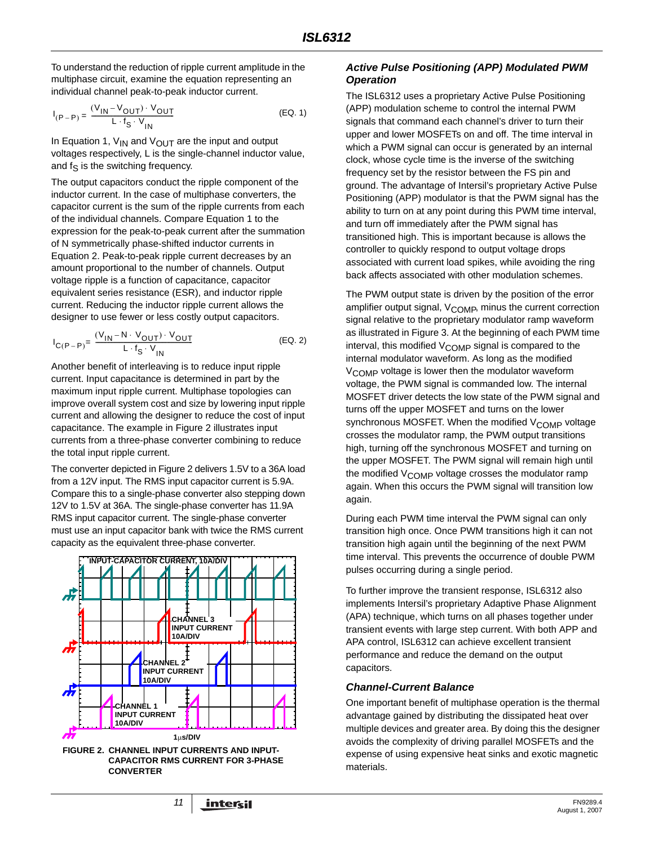To understand the reduction of ripple current amplitude in the multiphase circuit, examine the equation representing an individual channel peak-to-peak inductor current.

$$
I_{(P-P)} = \frac{(V_{IN} - V_{OUT}) \cdot V_{OUT}}{L \cdot f_S \cdot V_{IN}}
$$
 (EQ. 1)

In Equation 1,  $V_{IN}$  and  $V_{OUT}$  are the input and output voltages respectively, L is the single-channel inductor value, and  $f_S$  is the switching frequency.

The output capacitors conduct the ripple component of the inductor current. In the case of multiphase converters, the capacitor current is the sum of the ripple currents from each of the individual channels. Compare Equation 1 to the expression for the peak-to-peak current after the summation of N symmetrically phase-shifted inductor currents in Equation 2. Peak-to-peak ripple current decreases by an amount proportional to the number of channels. Output voltage ripple is a function of capacitance, capacitor equivalent series resistance (ESR), and inductor ripple current. Reducing the inductor ripple current allows the designer to use fewer or less costly output capacitors.

$$
I_{C(P-P)} = \frac{(V_{1N} - N \cdot V_{OUT}) \cdot V_{OUT}}{L \cdot f_S \cdot V_{1N}}
$$
 (EQ. 2)

Another benefit of interleaving is to reduce input ripple current. Input capacitance is determined in part by the maximum input ripple current. Multiphase topologies can improve overall system cost and size by lowering input ripple current and allowing the designer to reduce the cost of input capacitance. The example in Figure [2](#page-10-0) illustrates input currents from a three-phase converter combining to reduce the total input ripple current.

The converter depicted in Figure [2](#page-10-0) delivers 1.5V to a 36A load from a 12V input. The RMS input capacitor current is 5.9A. Compare this to a single-phase converter also stepping down 12V to 1.5V at 36A. The single-phase converter has 11.9A RMS input capacitor current. The single-phase converter must use an input capacitor bank with twice the RMS current capacity as the equivalent three-phase converter.



<span id="page-10-0"></span>

#### *Active Pulse Positioning (APP) Modulated PWM Operation*

The ISL6312 uses a proprietary Active Pulse Positioning (APP) modulation scheme to control the internal PWM signals that command each channel's driver to turn their upper and lower MOSFETs on and off. The time interval in which a PWM signal can occur is generated by an internal clock, whose cycle time is the inverse of the switching frequency set by the resistor between the FS pin and ground. The advantage of Intersil's proprietary Active Pulse Positioning (APP) modulator is that the PWM signal has the ability to turn on at any point during this PWM time interval, and turn off immediately after the PWM signal has transitioned high. This is important because is allows the controller to quickly respond to output voltage drops associated with current load spikes, while avoiding the ring back affects associated with other modulation schemes.

The PWM output state is driven by the position of the error amplifier output signal, V<sub>COMP</sub>, minus the current correction signal relative to the proprietary modulator ramp waveform as illustrated in Figure [3](#page-11-0). At the beginning of each PWM time interval, this modified  $V_{\text{COMP}}$  signal is compared to the internal modulator waveform. As long as the modified  $V_{\text{COMP}}$  voltage is lower then the modulator waveform voltage, the PWM signal is commanded low. The internal MOSFET driver detects the low state of the PWM signal and turns off the upper MOSFET and turns on the lower synchronous MOSFET. When the modified V<sub>COMP</sub> voltage crosses the modulator ramp, the PWM output transitions high, turning off the synchronous MOSFET and turning on the upper MOSFET. The PWM signal will remain high until the modified V<sub>COMP</sub> voltage crosses the modulator ramp again. When this occurs the PWM signal will transition low again.

During each PWM time interval the PWM signal can only transition high once. Once PWM transitions high it can not transition high again until the beginning of the next PWM time interval. This prevents the occurrence of double PWM pulses occurring during a single period.

To further improve the transient response, ISL6312 also implements Intersil's proprietary Adaptive Phase Alignment (APA) technique, which turns on all phases together under transient events with large step current. With both APP and APA control, ISL6312 can achieve excellent transient performance and reduce the demand on the output capacitors.

#### *Channel-Current Balance*

One important benefit of multiphase operation is the thermal advantage gained by distributing the dissipated heat over multiple devices and greater area. By doing this the designer avoids the complexity of driving parallel MOSFETs and the expense of using expensive heat sinks and exotic magnetic materials.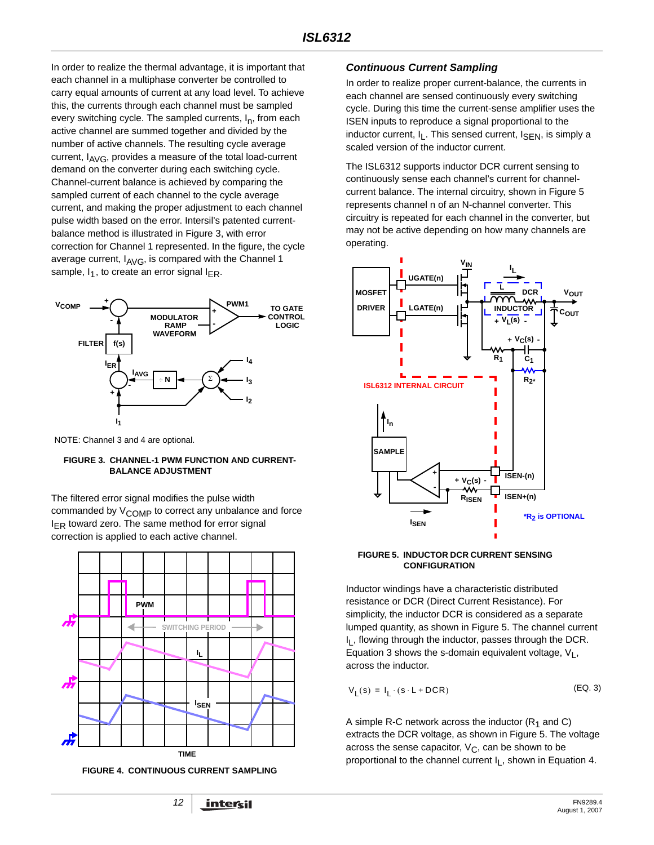In order to realize the thermal advantage, it is important that each channel in a multiphase converter be controlled to carry equal amounts of current at any load level. To achieve this, the currents through each channel must be sampled every switching cycle. The sampled currents,  $I_n$ , from each active channel are summed together and divided by the number of active channels. The resulting cycle average current,  $I_{AVG}$ , provides a measure of the total load-current demand on the converter during each switching cycle. Channel-current balance is achieved by comparing the sampled current of each channel to the cycle average current, and making the proper adjustment to each channel pulse width based on the error. Intersil's patented currentbalance method is illustrated in Figure [3,](#page-11-0) with error correction for Channel 1 represented. In the figure, the cycle average current,  $I_{AVG}$ , is compared with the Channel 1 sample,  $I_1$ , to create an error signal  $I_{FR}$ .



NOTE: Channel 3 and 4 are optional.

#### <span id="page-11-0"></span>**FIGURE 3. CHANNEL-1 PWM FUNCTION AND CURRENT-BALANCE ADJUSTMENT**

The filtered error signal modifies the pulse width commanded by  $V_{\text{COMP}}$  to correct any unbalance and force  $I_{ER}$  toward zero. The same method for error signal correction is applied to each active channel.



**FIGURE 4. CONTINUOUS CURRENT SAMPLING**

### <span id="page-11-3"></span>*Continuous Current Sampling*

In order to realize proper current-balance, the currents in each channel are sensed continuously every switching cycle. During this time the current-sense amplifier uses the ISEN inputs to reproduce a signal proportional to the inductor current,  $I_L$ . This sensed current,  $I_{\text{SEN}}$ , is simply a scaled version of the inductor current.

The ISL6312 supports inductor DCR current sensing to continuously sense each channel's current for channelcurrent balance. The internal circuitry, shown in Figure [5](#page-11-1) represents channel n of an N-channel converter. This circuitry is repeated for each channel in the converter, but may not be active depending on how many channels are operating.



#### <span id="page-11-1"></span>**FIGURE 5. INDUCTOR DCR CURRENT SENSING CONFIGURATION**

Inductor windings have a characteristic distributed resistance or DCR (Direct Current Resistance). For simplicity, the inductor DCR is considered as a separate lumped quantity, as shown in Figure [5.](#page-11-1) The channel current I<sub>I</sub>, flowing through the inductor, passes through the DCR. Equation [3](#page-11-2) shows the s-domain equivalent voltage,  $V_1$ , across the inductor.

<span id="page-11-2"></span>
$$
V_{L}(s) = I_{L} \cdot (s \cdot L + DCR) \tag{Eq. 3}
$$

A simple R-C network across the inductor  $(R_1$  and C) extracts the DCR voltage, as shown in Figure [5](#page-11-1). The voltage across the sense capacitor,  $V_C$ , can be shown to be proportional to the channel current  $I_L$ , shown in Equation [4](#page-12-0).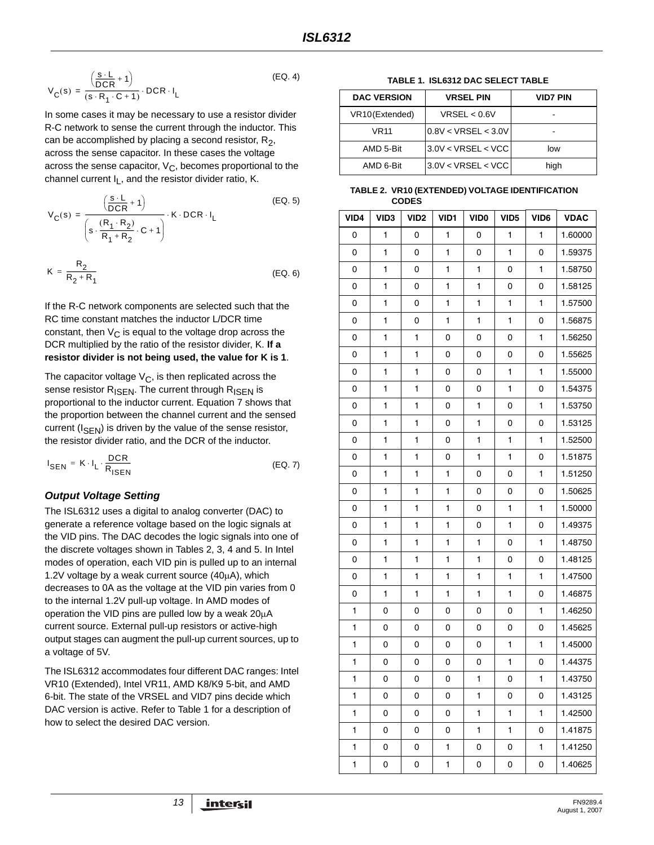$$
V_{C}(s) = \frac{\left(\frac{s \cdot L}{DCR} + 1\right)}{(s \cdot R_{1} \cdot C + 1)} \cdot DCR \cdot I_{L}
$$
 (EQ. 4)

In some cases it may be necessary to use a resistor divider R-C network to sense the current through the inductor. This can be accomplished by placing a second resistor,  $R_2$ , across the sense capacitor. In these cases the voltage across the sense capacitor,  $V_{\text{C}}$ , becomes proportional to the channel current  $I_L$ , and the resistor divider ratio, K.

$$
V_C(s) = \frac{\left(\frac{s \cdot L}{DCR} + 1\right)}{\left(s \cdot \frac{(R_1 \cdot R_2)}{R_1 + R_2} \cdot C + 1\right)} \cdot K \cdot DCR \cdot I_L
$$
\n
$$
K = \frac{R_2}{R_2 + R_1}
$$
\n(EQ. 6)

If the R-C network components are selected such that the RC time constant matches the inductor L/DCR time constant, then  $V_{\text{C}}$  is equal to the voltage drop across the DCR multiplied by the ratio of the resistor divider, K. **If a resistor divider is not being used, the value for K is 1**.

The capacitor voltage  $V_C$ , is then replicated across the sense resistor  $R_{\text{ISEN}}$ . The current through  $R_{\text{ISEN}}$  is proportional to the inductor current. Equation 7 shows that the proportion between the channel current and the sensed current  $(I_{\text{SEN}})$  is driven by the value of the sense resistor, the resistor divider ratio, and the DCR of the inductor.

$$
I_{\text{SEN}} = K \cdot I_{\text{L}} \cdot \frac{\text{DCR}}{R_{\text{ISBN}}}
$$
 (EQ. 7)

### *Output Voltage Setting*

The ISL6312 uses a digital to analog converter (DAC) to generate a reference voltage based on the logic signals at the VID pins. The DAC decodes the logic signals into one of the discrete voltages shown in Tables [2](#page-12-2), [3](#page-14-0), [4](#page-16-0) and [5](#page-17-0). In Intel modes of operation, each VID pin is pulled up to an internal 1.2V voltage by a weak current source (40μA), which decreases to 0A as the voltage at the VID pin varies from 0 to the internal 1.2V pull-up voltage. In AMD modes of operation the VID pins are pulled low by a weak 20μA current source. External pull-up resistors or active-high output stages can augment the pull-up current sources, up to a voltage of 5V.

The ISL6312 accommodates four different DAC ranges: Intel VR10 (Extended), Intel VR11, AMD K8/K9 5-bit, and AMD 6-bit. The state of the VRSEL and VID7 pins decide which DAC version is active. Refer to Table [1](#page-12-1) for a description of how to select the desired DAC version.

#### **TABLE 1. ISL6312 DAC SELECT TABLE**

<span id="page-12-1"></span><span id="page-12-0"></span>

| <b>DAC VERSION</b> | <b>VRSEL PIN</b>    | <b>VID7 PIN</b> |
|--------------------|---------------------|-----------------|
| VR10(Extended)     | VRSEL < 0.6V        |                 |
| <b>VR11</b>        | 0.8V < VRSEL < 3.0V |                 |
| AMD 5-Bit          | 3.0 V < VRSEL < VCC | low             |
| AMD 6-Bit          | 3.0 V < VRSEL < VCC | high            |

#### <span id="page-12-2"></span>**TABLE 2. VR10 (EXTENDED) VOLTAGE IDENTIFICATION CODES**

| VID4 | VID <sub>3</sub> | VID <sub>2</sub> | VID1 | VID <sub>0</sub> | VID <sub>5</sub> | VID6         | <b>VDAC</b> |
|------|------------------|------------------|------|------------------|------------------|--------------|-------------|
| 0    | 1                | 0                | 1    | 0                | 1                | 1            | 1.60000     |
| 0    | 1                | 0                | 1    | 0                | 1                | 0            | 1.59375     |
| 0    | 1                | 0                | 1    | $\mathbf{1}$     | 0                | 1            | 1.58750     |
| 0    | 1                | 0                | 1    | $\mathbf{1}$     | 0                | 0            | 1.58125     |
| 0    | 1                | 0                | 1    | 1                | 1                | 1            | 1.57500     |
| 0    | 1                | 0                | 1    | 1                | 1                | 0            | 1.56875     |
| 0    | 1                | 1                | 0    | 0                | 0                | 1            | 1.56250     |
| 0    | 1                | 1                | 0    | 0                | 0                | 0            | 1.55625     |
| 0    | 1                | 1                | 0    | 0                | $\mathbf{1}$     | 1            | 1.55000     |
| 0    | 1                | 1                | 0    | 0                | 1                | 0            | 1.54375     |
| 0    | 1                | 1                | 0    | 1                | 0                | 1            | 1.53750     |
| 0    | 1                | 1                | 0    | 1                | 0                | 0            | 1.53125     |
| 0    | 1                | 1                | 0    | 1                | 1                | 1            | 1.52500     |
| 0    | 1                | 1                | 0    | 1                | 1                | 0            | 1.51875     |
| 0    | 1                | 1                | 1    | 0                | 0                | 1            | 1.51250     |
| 0    | 1                | 1                | 1    | 0                | 0                | 0            | 1.50625     |
| 0    | 1                | 1                | 1    | 0                | 1                | 1            | 1.50000     |
| 0    | 1                | 1                | 1    | 0                | 1                | 0            | 1.49375     |
| 0    | 1                | 1                | 1    | $\mathbf{1}$     | 0                | 1            | 1.48750     |
| 0    | 1                | 1                | 1    | 1                | 0                | 0            | 1.48125     |
| 0    | 1                | 1                | 1    | $\mathbf{1}$     | 1                | 1            | 1.47500     |
| 0    | 1                | 1                | 1    | 1                | 1                | 0            | 1.46875     |
| 1    | 0                | 0                | 0    | 0                | 0                | 1            | 1.46250     |
| 1    | 0                | 0                | 0    | 0                | 0                | 0            | 1.45625     |
| 1    | 0                | 0                | 0    | 0                | 1                | 1            | 1.45000     |
| 1    | 0                | 0                | 0    | 0                | $\mathbf{1}$     | 0            | 1.44375     |
| 1    | 0                | 0                | 0    | $\mathbf{1}$     | 0                | $\mathbf{1}$ | 1.43750     |
| 1    | 0                | 0                | 0    | 1                | 0                | 0            | 1.43125     |
| 1    | 0                | 0                | 0    | 1                | 1                | 1            | 1.42500     |
| 1    | 0                | 0                | 0    | 1                | 1                | 0            | 1.41875     |
| 1    | 0                | 0                | 1    | 0                | 0                | 1            | 1.41250     |
| 1    | 0                | 0                | 1    | 0                | 0                | 0            | 1.40625     |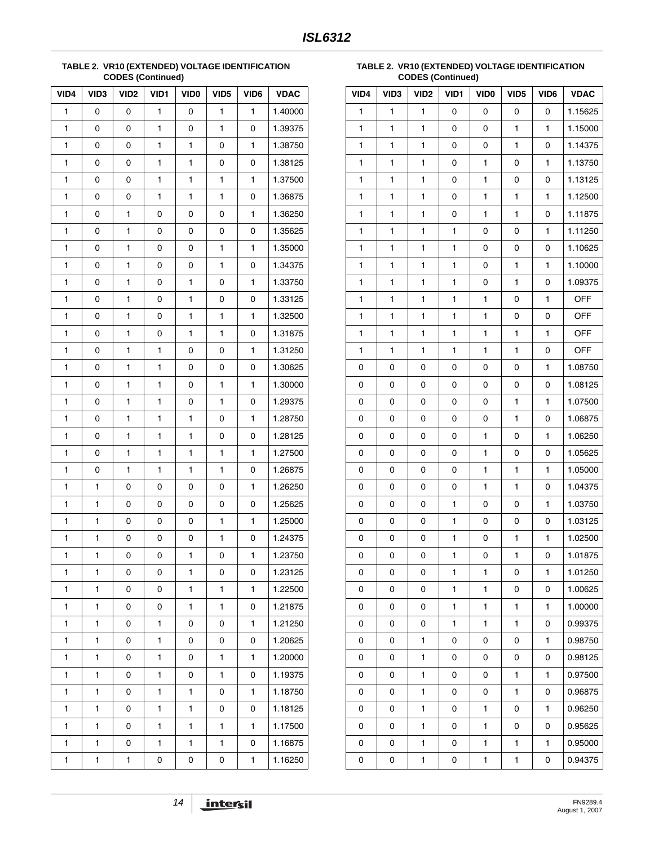#### **TABLE 2. VR10 (EXTENDED) VOLTAGE IDENTIFICATION CODES (Continued)**

| VID4         | VID3         | VID <sub>2</sub> | VID1         | VID <sub>0</sub> | VID <sub>5</sub> | VID6         | <b>VDAC</b> |
|--------------|--------------|------------------|--------------|------------------|------------------|--------------|-------------|
| 1            | 0            | 0                | 1            | 0                | 1                | $\mathbf{1}$ | 1.40000     |
| $\mathbf{1}$ | 0            | 0                | $\mathbf{1}$ | 0                | 1                | 0            | 1.39375     |
| 1            | 0            | 0                | 1            | 1                | 0                | 1            | 1.38750     |
| 1            | 0            | 0                | 1            | 1                | 0                | 0            | 1.38125     |
| 1            | 0            | 0                | 1            | 1                | $\mathbf{1}$     | 1            | 1.37500     |
| 1            | 0            | 0                | 1            | 1                | 1                | 0            | 1.36875     |
| 1            | 0            | 1                | 0            | 0                | 0                | 1            | 1.36250     |
| 1            | 0            | 1                | 0            | 0                | 0                | 0            | 1.35625     |
| 1            | 0            | 1                | 0            | 0                | 1                | 1            | 1.35000     |
| 1            | 0            | 1                | 0            | 0                | $\mathbf{1}$     | 0            | 1.34375     |
| 1            | 0            | 1                | 0            | 1                | 0                | 1            | 1.33750     |
| 1            | 0            | 1                | 0            | 1                | 0                | 0            | 1.33125     |
| 1            | 0            | 1                | 0            | 1                | $\mathbf{1}$     | 1            | 1.32500     |
| 1            | 0            | 1                | 0            | 1                | $\mathbf{1}$     | 0            | 1.31875     |
| 1            | 0            | 1                | 1            | 0                | 0                | 1            | 1.31250     |
| 1            | 0            | 1                | 1            | 0                | 0                | 0            | 1.30625     |
| 1            | 0            | 1                | 1            | 0                | $\mathbf{1}$     | 1            | 1.30000     |
| 1            | 0            | 1                | 1            | 0                | 1                | 0            | 1.29375     |
| 1            | 0            | 1                | 1            | 1                | 0                | 1            | 1.28750     |
| 1            | 0            | 1                | 1            | 1                | 0                | 0            | 1.28125     |
| 1            | 0            | 1                | 1            | 1                | 1                | 1            | 1.27500     |
| 1            | 0            | 1                | 1            | 1                | 1                | 0            | 1.26875     |
| 1            | 1            | 0                | 0            | 0                | 0                | 1            | 1.26250     |
| 1            | 1            | 0                | 0            | 0                | 0                | 0            | 1.25625     |
| 1            | $\mathbf{1}$ | 0                | 0            | 0                | $\mathbf{1}$     | 1            | 1.25000     |
| 1            | 1            | 0                | 0            | 0                | $\mathbf{1}$     | 0            | 1.24375     |
| 1            | $\mathbf{1}$ | 0                | 0            | $\mathbf{1}$     | 0                | $\mathbf{1}$ | 1.23750     |
| 1            | 1            | 0                | 0            | 1                | 0                | 0            | 1.23125     |
| 1            | 1            | 0                | 0            | 1                | 1                | 1            | 1.22500     |
| 1            | 1            | 0                | 0            | 1                | 1                | 0            | 1.21875     |
| 1            | 1            | 0                | 1            | 0                | 0                | $\mathbf{1}$ | 1.21250     |
| 1            | 1            | 0                | 1            | 0                | 0                | 0            | 1.20625     |
| 1            | 1            | 0                | 1            | 0                | 1                | 1            | 1.20000     |
| 1            | 1            | 0                | 1            | 0                | 1                | 0            | 1.19375     |
| 1            | 1            | 0                | 1            | 1                | 0                | 1            | 1.18750     |
| 1            | 1            | 0                | 1            | 1                | 0                | 0            | 1.18125     |
| 1            | 1            | 0                | 1            | 1                | 1                | $\mathbf{1}$ | 1.17500     |
| 1            | 1            | 0                | 1            | 1                | 1                | 0            | 1.16875     |
| 1            | 1            | 1                | 0            | 0                | 0                | 1            | 1.16250     |

**TABLE 2. VR10 (EXTENDED) VOLTAGE IDENTIFICATION CODES (Continued)**

| VID4         | VID3         | VID <sub>2</sub> | VID1         | VID <sub>0</sub> | VID5         | VID6         | <b>VDAC</b> |
|--------------|--------------|------------------|--------------|------------------|--------------|--------------|-------------|
| $\mathbf{1}$ | $\mathbf{1}$ | $\mathbf{1}$     | 0            | 0                | 0            | 0            | 1.15625     |
| $\mathbf{1}$ | 1            | 1                | 0            | 0                | $\mathbf{1}$ | 1            | 1.15000     |
| $\mathbf{1}$ | 1            | $\mathbf{1}$     | 0            | 0                | $\mathbf{1}$ | 0            | 1.14375     |
| $\mathbf{1}$ | $\mathbf{1}$ | $\mathbf{1}$     | 0            | 1                | 0            | 1            | 1.13750     |
| 1            | $\mathbf{1}$ | 1                | 0            | 1                | 0            | 0            | 1.13125     |
| 1            | 1            | 1                | 0            | 1                | 1            | 1            | 1.12500     |
| $\mathbf{1}$ | $\mathbf{1}$ | 1                | 0            | 1                | $\mathbf{1}$ | 0            | 1.11875     |
| 1            | $\mathbf{1}$ | 1                | $\mathbf{1}$ | 0                | 0            | 1            | 1.11250     |
| 1            | 1            | $\mathbf{1}$     | 1            | 0                | 0            | 0            | 1.10625     |
| $\mathbf{1}$ | $\mathbf{1}$ | 1                | 1            | 0                | $\mathbf{1}$ | $\mathbf{1}$ | 1.10000     |
| 1            | 1            | 1                | $\mathbf{1}$ | 0                | $\mathbf{1}$ | 0            | 1.09375     |
| 1            | 1            | 1                | 1            | 1                | 0            | 1            | <b>OFF</b>  |
| $\mathbf{1}$ | $\mathbf{1}$ | 1                | 1            | 1                | 0            | 0            | OFF         |
| 1            | 1            | 1                | $\mathbf{1}$ | 1                | 1            | 1            | <b>OFF</b>  |
| $\mathbf{1}$ | 1            | 1                | 1            | 1                | $\mathbf{1}$ | 0            | <b>OFF</b>  |
| 0            | 0            | 0                | 0            | 0                | 0            | $\mathbf{1}$ | 1.08750     |
| 0            | 0            | 0                | 0            | 0                | 0            | 0            | 1.08125     |
| 0            | 0            | 0                | 0            | 0                | 1            | 1            | 1.07500     |
| 0            | 0            | 0                | 0            | 0                | $\mathbf{1}$ | 0            | 1.06875     |
| 0            | 0            | 0                | 0            | 1                | 0            | 1            | 1.06250     |
| 0            | 0            | 0                | 0            | 1                | 0            | 0            | 1.05625     |
| 0            | 0            | 0                | 0            | 1                | $\mathbf{1}$ | $\mathbf{1}$ | 1.05000     |
| 0            | 0            | 0                | 0            | 1                | 1            | 0            | 1.04375     |
| 0            | 0            | 0                | 1            | 0                | 0            | 1            | 1.03750     |
| 0            | 0            | 0                | $\mathbf{1}$ | 0                | 0            | 0            | 1.03125     |
| 0            | 0            | 0                | 1            | 0                | $\mathbf{1}$ | 1            | 1.02500     |
| 0            | 0            | 0                | 1            | 0                | 1            | 0            | 1.01875     |
| 0            | 0            | 0                | 1            | 1                | 0            | 1            | 1.01250     |
| 0            | 0            | 0                | 1            | 1                | 0            | 0            | 1.00625     |
| 0            | 0            | 0                | 1            | 1                | 1            | 1            | 1.00000     |
| 0            | 0            | 0                | 1            | 1                | $\mathbf{1}$ | 0            | 0.99375     |
| 0            | 0            | 1                | 0            | 0                | 0            | 1            | 0.98750     |
| 0            | 0            | 1                | 0            | 0                | 0            | 0            | 0.98125     |
| 0            | 0            | 1                | 0            | 0                | $\mathbf{1}$ | 1            | 0.97500     |
| 0            | 0            | 1                | 0            | 0                | $\mathbf{1}$ | 0            | 0.96875     |
| 0            | 0            | 1                | 0            | 1                | 0            | 1            | 0.96250     |
| 0            | 0            | 1                | 0            | 1                | 0            | 0            | 0.95625     |
| 0            | 0            | 1                | 0            | 1                | 1            | 1            | 0.95000     |
|              |              |                  |              |                  |              |              |             |
| 0            | 0            | 1                | 0            | 1                | $\mathbf{1}$ | 0            | 0.94375     |

*14* <u>intersil</u>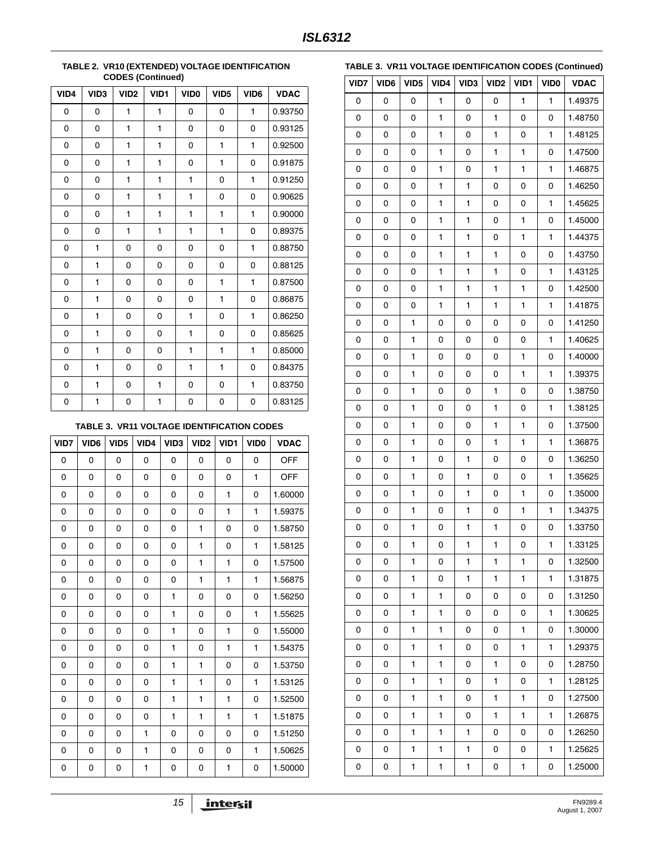|      | <b>OODLO (OOHHHUGU)</b> |                  |              |                  |                  |              |             |  |  |  |
|------|-------------------------|------------------|--------------|------------------|------------------|--------------|-------------|--|--|--|
| VID4 | VID3                    | VID <sub>2</sub> | VID1         | VID <sub>0</sub> | VID <sub>5</sub> | VID6         | <b>VDAC</b> |  |  |  |
| 0    | 0                       | 1                | 1            | 0                | 0                | $\mathbf{1}$ | 0.93750     |  |  |  |
| 0    | 0                       | 1                | 1            | 0                | 0                | 0            | 0.93125     |  |  |  |
| 0    | 0                       | 1                | $\mathbf{1}$ | $\mathbf 0$      | 1                | $\mathbf{1}$ | 0.92500     |  |  |  |
| 0    | 0                       | 1                | $\mathbf{1}$ | $\mathbf 0$      | 1                | 0            | 0.91875     |  |  |  |
| 0    | 0                       | 1                | $\mathbf{1}$ | $\mathbf{1}$     | 0                | $\mathbf{1}$ | 0.91250     |  |  |  |
| 0    | 0                       | 1                | 1            | 1                | 0                | 0            | 0.90625     |  |  |  |
| 0    | 0                       | 1                | 1            | 1                | 1                | $\mathbf{1}$ | 0.90000     |  |  |  |
| 0    | 0                       | 1                | $\mathbf{1}$ | 1                | $\mathbf{1}$     | 0            | 0.89375     |  |  |  |
| 0    | 1                       | 0                | 0            | 0                | 0                | $\mathbf{1}$ | 0.88750     |  |  |  |
| 0    | 1                       | 0                | 0            | $\mathbf 0$      | 0                | 0            | 0.88125     |  |  |  |
| 0    | $\mathbf{1}$            | 0                | 0            | 0                | 1                | $\mathbf{1}$ | 0.87500     |  |  |  |
| 0    | $\mathbf{1}$            | 0                | 0            | $\mathbf 0$      | 1                | $\mathbf 0$  | 0.86875     |  |  |  |
| 0    | 1                       | 0                | 0            | 1                | 0                | $\mathbf{1}$ | 0.86250     |  |  |  |
| 0    | 1                       | 0                | 0            | 1                | 0                | 0            | 0.85625     |  |  |  |
| 0    | 1                       | 0                | 0            | 1                | 1                | $\mathbf{1}$ | 0.85000     |  |  |  |
| 0    | 1                       | 0                | 0            | 1                | 1                | 0            | 0.84375     |  |  |  |
| 0    | $\mathbf{1}$            | 0                | $\mathbf{1}$ | 0                | 0                | $\mathbf{1}$ | 0.83750     |  |  |  |
| 0    | 1                       | 0                | 1            | 0                | 0                | 0            | 0.83125     |  |  |  |

#### **TABLE 2. VR10 (EXTENDED) VOLTAGE IDENTIFICATION CODES (Continued)**

#### **TABLE 3. VR11 VOLTAGE IDENTIFICATION CODES**

<span id="page-14-0"></span>

| VID7 | VID <sub>6</sub> | VID <sub>5</sub> | VID4 | VID <sub>3</sub> | VID <sub>2</sub> | VID1 | VID <sub>0</sub> | <b>VDAC</b> |
|------|------------------|------------------|------|------------------|------------------|------|------------------|-------------|
| 0    | 0                | 0                | 0    | 0                | 0                | 0    | 0                | <b>OFF</b>  |
| 0    | 0                | 0                | 0    | 0                | 0                | 0    | $\mathbf{1}$     | OFF         |
| 0    | 0                | 0                | 0    | 0                | 0                | 1    | 0                | 1.60000     |
| 0    | 0                | 0                | 0    | 0                | 0                | 1    | $\mathbf{1}$     | 1.59375     |
| 0    | 0                | 0                | 0    | 0                | 1                | 0    | $\mathbf 0$      | 1.58750     |
| 0    | 0                | 0                | 0    | 0                | 1                | 0    | $\mathbf{1}$     | 1.58125     |
| 0    | 0                | 0                | 0    | 0                | $\mathbf{1}$     | 1    | 0                | 1.57500     |
| 0    | 0                | 0                | 0    | 0                | 1                | 1    | 1                | 1.56875     |
| 0    | 0                | 0                | 0    | 1                | 0                | 0    | 0                | 1.56250     |
| 0    | 0                | 0                | 0    | $\mathbf{1}$     | 0                | 0    | $\mathbf{1}$     | 1.55625     |
| 0    | 0                | 0                | 0    | $\mathbf{1}$     | 0                | 1    | 0                | 1.55000     |
| 0    | 0                | 0                | 0    | $\mathbf{1}$     | 0                | 1    | $\mathbf{1}$     | 1.54375     |
| 0    | 0                | 0                | 0    | $\mathbf{1}$     | 1                | 0    | $\Omega$         | 1.53750     |
| 0    | 0                | 0                | 0    | $\mathbf{1}$     | 1                | 0    | $\mathbf{1}$     | 1.53125     |
| 0    | 0                | 0                | 0    | 1                | 1                | 1    | 0                | 1.52500     |
| 0    | 0                | 0                | 0    | $\mathbf{1}$     | 1                | 1    | $\mathbf{1}$     | 1.51875     |
| 0    | 0                | 0                | 1    | 0                | 0                | 0    | 0                | 1.51250     |
| 0    | 0                | 0                | 1    | 0                | 0                | 0    | 1                | 1.50625     |
| 0    | 0                | 0                | 1    | 0                | 0                | 1    | 0                | 1.50000     |

| VID7 | VID6 | VID <sub>5</sub> | VID4         | VID <sub>3</sub> | VID <sub>2</sub> | VID1         | <b>VIDO</b>  | <b>VDAC</b> |
|------|------|------------------|--------------|------------------|------------------|--------------|--------------|-------------|
| 0    | 0    | 0                | 1            | 0                | 0                | 1            | 1            | 1.49375     |
| 0    | 0    | 0                | $\mathbf{1}$ | 0                | 1                | 0            | 0            | 1.48750     |
| 0    | 0    | 0                | $\mathbf{1}$ | 0                | 1                | 0            | 1            | 1.48125     |
| 0    | 0    | 0                | $\mathbf{1}$ | 0                | 1                | 1            | 0            | 1.47500     |
| 0    | 0    | 0                | $\mathbf{1}$ | 0                | 1                | 1            | 1            | 1.46875     |
| 0    | 0    | 0                | $\mathbf{1}$ | 1                | 0                | 0            | 0            | 1.46250     |
| 0    | 0    | 0                | $\mathbf{1}$ | 1                | 0                | 0            | 1            | 1.45625     |
| 0    | 0    | 0                | $\mathbf{1}$ | 1                | 0                | 1            | 0            | 1.45000     |
| 0    | 0    | 0                | $\mathbf{1}$ | 1                | 0                | 1            | 1            | 1.44375     |
| 0    | 0    | 0                | $\mathbf{1}$ | 1                | 1                | 0            | 0            | 1.43750     |
| 0    | 0    | 0                | $\mathbf{1}$ | 1                | 1                | 0            | 1            | 1.43125     |
| 0    | 0    | 0                | $\mathbf{1}$ | 1                | 1                | 1            | 0            | 1.42500     |
| 0    | 0    | 0                | 1            | 1                | 1                | 1            | 1            | 1.41875     |
| 0    | 0    | 1                | 0            | 0                | 0                | 0            | 0            | 1.41250     |
| 0    | 0    | 1                | 0            | 0                | 0                | 0            | 1            | 1.40625     |
| 0    | 0    | 1                | 0            | 0                | 0                | 1            | 0            | 1.40000     |
| 0    | 0    | 1                | 0            | 0                | 0                | $\mathbf{1}$ | $\mathbf{1}$ | 1.39375     |
| 0    | 0    | 1                | 0            | 0                | 1                | 0            | 0            | 1.38750     |
| 0    | 0    | 1                | 0            | 0                | 1                | 0            | 1            | 1.38125     |
| 0    | 0    | 1                | 0            | 0                | 1                | 1            | 0            | 1.37500     |
| 0    | 0    | 1                | 0            | 0                | 1                | 1            | 1            | 1.36875     |
| 0    | 0    | 1                | 0            | 1                | 0                | 0            | 0            | 1.36250     |
| 0    | 0    | 1                | 0            | 1                | 0                | 0            | $\mathbf{1}$ | 1.35625     |
| 0    | 0    | 1                | 0            | 1                | 0                | 1            | 0            | 1.35000     |
| 0    | 0    | 1                | 0            | 1                | 0                | 1            | 1            | 1.34375     |
| 0    | 0    | 1                | 0            | $\mathbf{1}$     | $\mathbf{1}$     | 0            | 0            | 1.33750     |
| 0    | 0    | 1                | $\pmb{0}$    | $\mathbf{1}$     | $\mathbf{1}$     | 0            | 1            | 1.33125     |
| 0    | 0    | 1                | 0            | 1                | 1                | 1            | 0            | 1.32500     |
| 0    | 0    | 1                | 0            | 1                | 1                | 1            | 1            | 1.31875     |
| 0    | 0    | 1                | 1            | 0                | 0                | 0            | 0            | 1.31250     |
| 0    | 0    | 1                | 1            | 0                | 0                | 0            | 1            | 1.30625     |
| 0    | 0    | 1                | 1            | 0                | 0                | $\mathbf{1}$ | 0            | 1.30000     |
| 0    | 0    | 1                | 1            | 0                | 0                | 1            | 1            | 1.29375     |
| 0    | 0    | 1                | 1            | 0                | 1                | 0            | 0            | 1.28750     |
| 0    | 0    | 1                | 1            | 0                | 1                | 0            | 1            | 1.28125     |
| 0    | 0    | 1                | 1            | 0                | 1                | 1            | 0            | 1.27500     |
| 0    | 0    | 1                | 1            | 0                | 1                | 1            | 1            | 1.26875     |
| 0    | 0    | 1                | 1            | 1                | 0                | 0            | 0            | 1.26250     |
| 0    | 0    | 1                | 1            | 1                | 0                | 0            | 1            | 1.25625     |
| 0    | 0    | 1                | 1            | 1                | 0                | 1            | 0            | 1.25000     |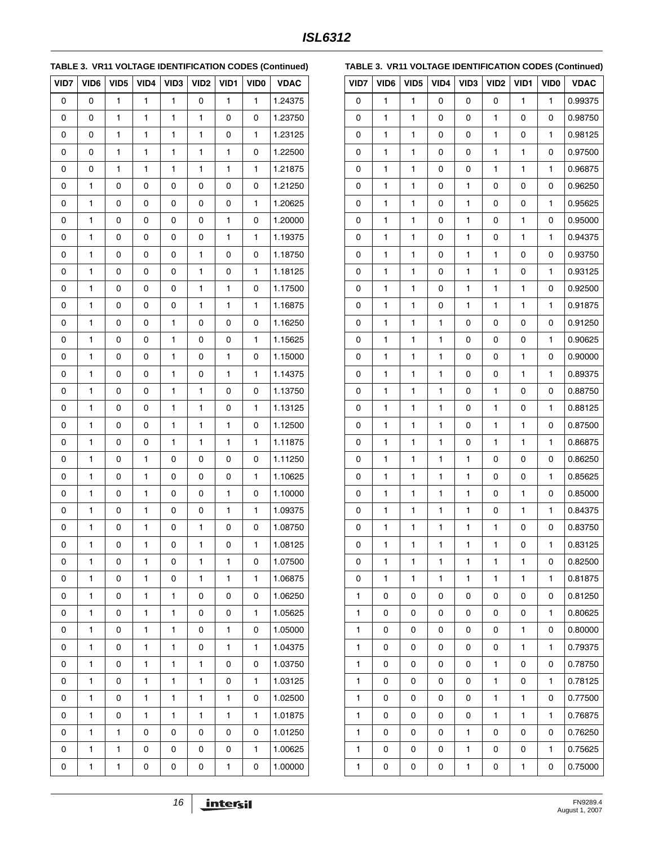**TABLE 3. VR11 VOLTAGE IDENTIFICATION CODES (Continued)**

| VID7 | VID6 | VID <sub>5</sub> | VID4         | VID <sub>3</sub> | VID <sub>2</sub> | VID1         | VID <sub>0</sub> | <b>VDAC</b> |
|------|------|------------------|--------------|------------------|------------------|--------------|------------------|-------------|
| 0    | 0    | 1                | 1            | 1                | 0                | 1            | 1                | 1.24375     |
| 0    | 0    | 1                | $\mathbf{1}$ | $\mathbf{1}$     | $\mathbf{1}$     | 0            | 0                | 1.23750     |
| 0    | 0    | 1                | 1            | 1                | 1                | 0            | 1                | 1.23125     |
| 0    | 0    | 1                | 1            | 1                | 1                | 1            | 0                | 1.22500     |
| 0    | 0    | 1                | 1            | 1                | $\mathbf{1}$     | 1            | 1                | 1.21875     |
| 0    | 1    | 0                | 0            | 0                | 0                | 0            | 0                | 1.21250     |
| 0    | 1    | 0                | 0            | 0                | 0                | 0            | 1                | 1.20625     |
| 0    | 1    | 0                | 0            | 0                | 0                | 1            | 0                | 1.20000     |
| 0    | 1    | 0                | 0            | 0                | 0                | 1            | 1                | 1.19375     |
| 0    | 1    | 0                | 0            | 0                | 1                | 0            | 0                | 1.18750     |
| 0    | 1    | 0                | 0            | 0                | 1                | 0            | 1                | 1.18125     |
| 0    | 1    | 0                | 0            | 0                | 1                | 1            | 0                | 1.17500     |
| 0    | 1    | 0                | 0            | 0                | 1                | 1            | 1                | 1.16875     |
| 0    | 1    | 0                | 0            | 1                | 0                | 0            | 0                | 1.16250     |
| 0    | 1    | 0                | 0            | 1                | 0                | 0            | 1                | 1.15625     |
| 0    | 1    | 0                | 0            | 1                | 0                | 1            | 0                | 1.15000     |
| 0    | 1    | 0                | 0            | 1                | 0                | 1            | 1                | 1.14375     |
| 0    | 1    | 0                | 0            | 1                | 1                | 0            | 0                | 1.13750     |
| 0    | 1    | 0                | 0            | 1                | 1                | 0            | 1                | 1.13125     |
| 0    | 1    | 0                | 0            | 1                | 1                | 1            | 0                | 1.12500     |
| 0    | 1    | 0                | 0            | 1                | 1                | 1            | 1                | 1.11875     |
| 0    | 1    | 0                | 1            | 0                | 0                | 0            | 0                | 1.11250     |
| 0    | 1    | 0                | 1            | 0                | 0                | 0            | 1                | 1.10625     |
| 0    | 1    | 0                | 1            | 0                | 0                | 1            | 0                | 1.10000     |
| 0    | 1    | 0                | 1            | 0                | 0                | $\mathbf{1}$ | 1                | 1.09375     |
| 0    | 1    | 0                | $\mathbf{1}$ | 0                | 1                | 0            | 0                | 1.08750     |
| 0    | 1    | 0                | 1            | 0                | 1                | 0            | 1                | 1.08125     |
| 0    | 1    | 0                | 1            | 0                | 1                | 1            | 0                | 1.07500     |
| 0    | 1    | 0                | 1            | 0                | 1                | 1            | 1                | 1.06875     |
| 0    | 1    | 0                | 1            | 1                | 0                | 0            | 0                | 1.06250     |
| 0    | 1    | 0                | 1            | 1                | 0                | 0            | 1                | 1.05625     |
| 0    | 1    | 0                | 1            | 1                | 0                | 1            | 0                | 1.05000     |
| 0    | 1    | 0                | 1            | 1                | 0                | 1            | 1                | 1.04375     |
| 0    | 1    | 0                | 1            | 1                | 1                | 0            | 0                | 1.03750     |
| 0    | 1    | 0                | 1            | 1                | 1                | 0            | 1                | 1.03125     |
| 0    | 1    | 0                | 1            | 1                | 1                | 1            | 0                | 1.02500     |
| 0    | 1    | 0                | 1            | 1                | 1                | 1            | 1                | 1.01875     |
| 0    | 1    | 1                | 0            | 0                | 0                | 0            | 0                | 1.01250     |
| 0    | 1    | 1                | 0            | 0                | 0                | 0            | 1                | 1.00625     |
| 0    | 1    | 1                | 0            | 0                | 0                | 1            | 0                | 1.00000     |

|  |  |  |  |  |  | TABLE 3. VR11 VOLTAGE IDENTIFICATION CODES (Continued) |
|--|--|--|--|--|--|--------------------------------------------------------|
|--|--|--|--|--|--|--------------------------------------------------------|

| VID7 | VID6         | VID <sub>5</sub> | VID4         | VID3         | VID <sub>2</sub>    | VID1 | VID <sub>0</sub> | <b>VDAC</b> |
|------|--------------|------------------|--------------|--------------|---------------------|------|------------------|-------------|
| 0    | 1            | 1                | 0            | 0            | 0                   | 1    | 1                | 0.99375     |
| 0    | 1            | 1                | 0            | 0            | 1                   | 0    | 0                | 0.98750     |
| 0    | 1            | 1                | 0            | 0            | 1                   | 0    | 1                | 0.98125     |
| 0    | 1            | 1                | 0            | 0            | 1                   | 1    | 0                | 0.97500     |
| 0    | 1            | 1                | 0            | 0            | 1                   | 1    | 1                | 0.96875     |
| 0    | 1            | 1                | 0            | $\mathbf{1}$ | $\mathsf{O}\xspace$ | 0    | 0                | 0.96250     |
| 0    | 1            | 1                | 0            | 1            | 0                   | 0    | 1                | 0.95625     |
| 0    | 1            | 1                | 0            | 1            | 0                   | 1    | 0                | 0.95000     |
| 0    | 1            | 1                | 0            | $\mathbf{1}$ | 0                   | 1    | 1                | 0.94375     |
| 0    | 1            | 1                | 0            | 1            | 1                   | 0    | 0                | 0.93750     |
| 0    | 1            | 1                | 0            | 1            | 1                   | 0    | 1                | 0.93125     |
| 0    | 1            | 1                | 0            | $\mathbf{1}$ | 1                   | 1    | 0                | 0.92500     |
| 0    | 1            | 1                | 0            | 1            | 1                   | 1    | 1                | 0.91875     |
| 0    | 1            | 1                | 1            | 0            | 0                   | 0    | 0                | 0.91250     |
| 0    | 1            | 1                | 1            | 0            | 0                   | 0    | 1                | 0.90625     |
| 0    | 1            | 1                | 1            | 0            | 0                   | 1    | 0                | 0.90000     |
| 0    | 1            | 1                | 1            | 0            | 0                   | 1    | 1                | 0.89375     |
| 0    | 1            | 1                | 1            | 0            | 1                   | 0    | 0                | 0.88750     |
| 0    | 1            | 1                | 1            | 0            | 1                   | 0    | 1                | 0.88125     |
| 0    | 1            | 1                | 1            | 0            | 1                   | 1    | 0                | 0.87500     |
| 0    | 1            | 1                | 1            | 0            | 1                   | 1    | 1                | 0.86875     |
| 0    | 1            | 1                | 1            | 1            | 0                   | 0    | 0                | 0.86250     |
| 0    | 1            | 1                | 1            | 1            | 0                   | 0    | 1                | 0.85625     |
| 0    | 1            | 1                | 1            | $\mathbf{1}$ | 0                   | 1    | 0                | 0.85000     |
| 0    | 1            | 1                | 1            | 1            | 0                   | 1    | 1                | 0.84375     |
| 0    | 1            | 1                | $\mathbf{1}$ | 1            | 1                   | 0    | 0                | 0.83750     |
| 0    | $\mathbf{1}$ | $\mathbf{1}$     | $\mathbf{1}$ | $\mathbf{1}$ | 1                   | 0    | 1                | 0.83125     |
| 0    | 1            | 1                | 1            | 1            | 1                   | 1    | 0                | 0.82500     |
| 0    | 1            | 1                | 1            | 1            | 1                   | 1    | 1                | 0.81875     |
| 1    | 0            | 0                | 0            | 0            | 0                   | 0    | 0                | 0.81250     |
| 1    | 0            | 0                | 0            | 0            | 0                   | 0    | 1                | 0.80625     |
| 1    | 0            | 0                | 0            | 0            | 0                   | 1    | 0                | 0.80000     |
| 1    | 0            | 0                | 0            | 0            | 0                   | 1    | 1                | 0.79375     |
| 1    | 0            | 0                | 0            | 0            | 1                   | 0    | 0                | 0.78750     |
| 1    | 0            | 0                | 0            | 0            | 1                   | 0    | 1                | 0.78125     |
| 1    | 0            | 0                | 0            | 0            | 1                   | 1    | 0                | 0.77500     |
| 1    | 0            | 0                | 0            | 0            | 1                   | 1    | 1                | 0.76875     |
| 1    | 0            | 0                | 0            | 1            | 0                   | 0    | 0                | 0.76250     |
| 1    | 0            | 0                | 0            | 1            | 0                   | 0    | 1                | 0.75625     |
| 1    | 0            | 0                | 0            | 1            | 0                   | 1    | 0                | 0.75000     |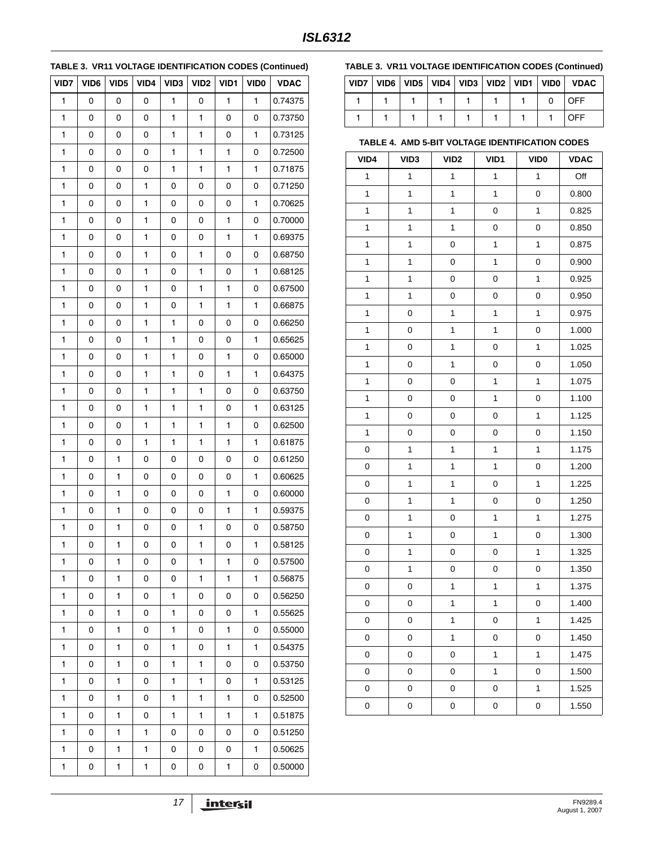### **TABLE 3. VR11 VOLTAGE IDENTIFICATION CODES (Continued)**

| VID7 | VID6 | VID <sub>5</sub> | VID4         | VID <sub>3</sub> | VID <sub>2</sub> | VID1         | VID <sub>0</sub> | <b>VDAC</b> |
|------|------|------------------|--------------|------------------|------------------|--------------|------------------|-------------|
| 1    | 0    | 0                | 0            | 1                | 0                | 1            | $\mathbf{1}$     | 0.74375     |
| 1    | 0    | 0                | 0            | 1                | 1                | 0            | 0                | 0.73750     |
| 1    | 0    | 0                | 0            | 1                | 1                | 0            | 1                | 0.73125     |
| 1    | 0    | 0                | 0            | 1                | $\mathbf{1}$     | $\mathbf{1}$ | 0                | 0.72500     |
| 1    | 0    | 0                | 0            | 1                | 1                | 1            | 1                | 0.71875     |
| 1    | 0    | 0                | 1            | 0                | 0                | 0            | 0                | 0.71250     |
| 1    | 0    | 0                | $\mathbf{1}$ | 0                | 0                | 0            | $\mathbf{1}$     | 0.70625     |
| 1    | 0    | 0                | 1            | 0                | 0                | 1            | 0                | 0.70000     |
| 1    | 0    | 0                | 1            | 0                | 0                | 1            | 1                | 0.69375     |
| 1    | 0    | 0                | $\mathbf{1}$ | 0                | $\mathbf{1}$     | 0            | 0                | 0.68750     |
| 1    | 0    | 0                | 1            | 0                | 1                | 0            | 1                | 0.68125     |
| 1    | 0    | 0                | 1            | 0                | 1                | 1            | 0                | 0.67500     |
| 1    | 0    | 0                | $\mathbf{1}$ | 0                | $\mathbf{1}$     | $\mathbf{1}$ | $\mathbf{1}$     | 0.66875     |
| 1    | 0    | 0                | 1            | 1                | 0                | 0            | 0                | 0.66250     |
| 1    | 0    | 0                | 1            | 1                | 0                | 0            | 1                | 0.65625     |
| 1    | 0    | 0                | 1            | 1                | 0                | $\mathbf{1}$ | 0                | 0.65000     |
| 1    | 0    | 0                | 1            | 1                | 0                | 1            | 1                | 0.64375     |
| 1    | 0    | 0                | 1            | 1                | 1                | 0            | 0                | 0.63750     |
| 1    | 0    | 0                | 1            | 1                | $\mathbf{1}$     | 0            | 1                | 0.63125     |
| 1    | 0    | 0                | 1            | 1                | 1                | 1            | 0                | 0.62500     |
| 1    | 0    | 0                | 1            | 1                | 1                | 1            | 1                | 0.61875     |
| 1    | 0    | 1                | 0            | 0                | 0                | 0            | 0                | 0.61250     |
| 1    | 0    | 1                | 0            | 0                | 0                | 0            | 1                | 0.60625     |
| 1    | 0    | 1                | 0            | 0                | 0                | 1            | 0                | 0.60000     |
| 1    | 0    | 1                | 0            | 0                | 0                | $\mathbf{1}$ | $\mathbf{1}$     | 0.59375     |
| 1    | 0    | 1                | 0            | 0                | $\mathbf{1}$     | 0            | 0                | 0.58750     |
| 1    | 0    | $\mathbf{1}$     | 0            | 0                | $\mathbf{1}$     | 0            | 1                | 0.58125     |
| 1    | 0    | 1                | 0            | 0                | 1                | 1            | 0                | 0.57500     |
| 1    | 0    | 1                | 0            | 0                | 1                | 1            | 1                | 0.56875     |
| 1    | 0    | 1                | 0            | 1                | 0                | 0            | 0                | 0.56250     |
| 1    | 0    | 1                | 0            | 1                | 0                | 0            | 1                | 0.55625     |
| 1    | 0    | 1                | 0            | 1                | 0                | 1            | 0                | 0.55000     |
| 1    | 0    | 1                | 0            | 1                | 0                | 1            | 1                | 0.54375     |
| 1    | 0    | 1                | 0            | 1                | 1                | 0            | 0                | 0.53750     |
| 1    | 0    | 1                | 0            | 1                | 1                | 0            | 1                | 0.53125     |
| 1    | 0    | 1                | 0            | 1                | 1                | 1            | 0                | 0.52500     |
| 1    | 0    | 1                | 0            | 1                | 1                | 1            | 1                | 0.51875     |
| 1    | 0    | 1                | 1            | 0                | 0                | 0            | 0                | 0.51250     |
| 1    | 0    | 1                | 1            | 0                | 0                | 0            | 1                | 0.50625     |
| 1    | 0    | 1                | 1            | 0                | 0                | 1            | 0                | 0.50000     |

#### **TABLE 3. VR11 VOLTAGE IDENTIFICATION CODES (Continued)**

|  |  |  |  | VID7   VID6   VID5   VID4   VID3   VID2   VID1   VID0   VDAC |
|--|--|--|--|--------------------------------------------------------------|
|  |  |  |  | LOFF.                                                        |
|  |  |  |  | <b>OFF</b>                                                   |

### <span id="page-16-0"></span>**TABLE 4. AMD 5-BIT VOLTAGE IDENTIFICATION CODES**

| VID4         | VID <sub>3</sub> | VID <sub>2</sub> | VID1         | <b>VID0</b>  | <b>VDAC</b> |
|--------------|------------------|------------------|--------------|--------------|-------------|
| $\mathbf 1$  | $\mathbf{1}$     | $\mathbf{1}$     | $\mathbf{1}$ | $\mathbf{1}$ | Off         |
| $\mathbf{1}$ | $\mathbf{1}$     | 1                | $\mathbf{1}$ | 0            | 0.800       |
| 1            | 1                | 1                | 0            | 1            | 0.825       |
| 1            | $\mathbf{1}$     | $\mathbf{1}$     | 0            | 0            | 0.850       |
| 1            | 1                | 0                | 1            | 1            | 0.875       |
| 1            | 1                | 0                | 1            | 0            | 0.900       |
| 1            | $\mathbf{1}$     | 0                | 0            | $\mathbf{1}$ | 0.925       |
| 1            | 1                | 0                | 0            | 0            | 0.950       |
| 1            | 0                | 1                | 1            | 1            | 0.975       |
| 1            | 0                | $\mathbf{1}$     | $\mathbf{1}$ | 0            | 1.000       |
| 1            | 0                | 1                | 0            | 1            | 1.025       |
| 1            | 0                | 1                | 0            | 0            | 1.050       |
| 1            | 0                | 0                | $\mathbf{1}$ | $\mathbf{1}$ | 1.075       |
| 1            | 0                | 0                | 1            | 0            | 1.100       |
| 1            | 0                | 0                | 0            | 1            | 1.125       |
| 1            | 0                | 0                | 0            | 0            | 1.150       |
| 0            | 1                | 1                | 1            | 1            | 1.175       |
| 0            | 1                | 1                | 1            | 0            | 1.200       |
| 0            | $\mathbf{1}$     | $\mathbf{1}$     | 0            | $\mathbf{1}$ | 1.225       |
| 0            | 1                | $\mathbf 1$      | 0            | 0            | 1.250       |
| 0            | 1                | 0                | 1            | 1            | 1.275       |
| 0            | $\mathbf{1}$     | 0                | $\mathbf{1}$ | 0            | 1.300       |
| 0            | 1                | $\mathbf 0$      | 0            | 1            | 1.325       |
| 0            | $\mathbf{1}$     | 0                | 0            | 0            | 1.350       |
| 0            | 0                | $\mathbf{1}$     | $\mathbf{1}$ | $\mathbf{1}$ | 1.375       |
| 0            | 0                | 1                | 1            | 0            | 1.400       |
| 0            | 0                | 1                | 0            | 1            | 1.425       |
| 0            | 0                | $\mathbf{1}$     | 0            | 0            | 1.450       |
| 0            | 0                | 0                | 1            | $\mathbf 1$  | 1.475       |
| 0            | 0                | 0                | 1            | 0            | 1.500       |
| 0            | 0                | 0                | 0            | $\mathbf{1}$ | 1.525       |
| 0            | 0                | 0                | 0            | 0            | 1.550       |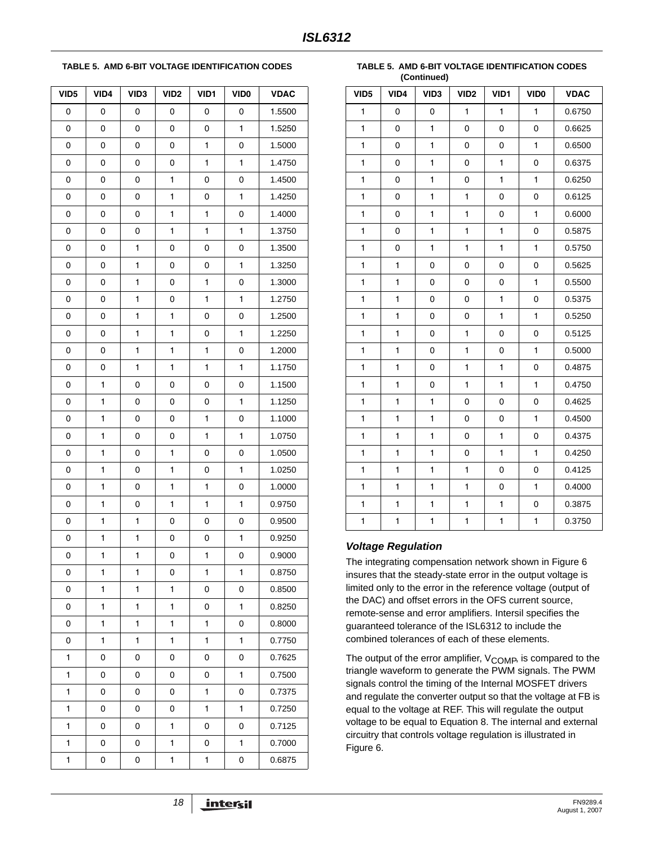#### <span id="page-17-0"></span>**TABLE 5. AMD 6-BIT VOLTAGE IDENTIFICATION CODES**

| VID <sub>5</sub> | VID4 | VID <sub>3</sub> | VID <sub>2</sub> | VID1 | VID <sub>0</sub> | <b>VDAC</b> |
|------------------|------|------------------|------------------|------|------------------|-------------|
| 0                | 0    | 0                | 0                | 0    | 0                | 1.5500      |
| 0                | 0    | 0                | 0                | 0    | 1                | 1.5250      |
| 0                | 0    | 0                | 0                | 1    | 0                | 1.5000      |
| 0                | 0    | 0                | 0                | 1    | 1                | 1.4750      |
| 0                | 0    | 0                | 1                | 0    | 0                | 1.4500      |
| 0                | 0    | 0                | 1                | 0    | 1                | 1.4250      |
| 0                | 0    | 0                | 1                | 1    | 0                | 1.4000      |
| 0                | 0    | 0                | 1                | 1    | 1                | 1.3750      |
| 0                | 0    | 1                | 0                | 0    | 0                | 1.3500      |
| 0                | 0    | 1                | 0                | 0    | 1                | 1.3250      |
| 0                | 0    | 1                | 0                | 1    | 0                | 1.3000      |
| 0                | 0    | 1                | 0                | 1    | 1                | 1.2750      |
| 0                | 0    | 1                | 1                | 0    | 0                | 1.2500      |
| 0                | 0    | 1                | 1                | 0    | 1                | 1.2250      |
| 0                | 0    | 1                | 1                | 1    | 0                | 1.2000      |
| 0                | 0    | 1                | 1                | 1    | 1                | 1.1750      |
| 0                | 1    | 0                | 0                | 0    | 0                | 1.1500      |
| 0                | 1    | 0                | 0                | 0    | 1                | 1.1250      |
| 0                | 1    | 0                | 0                | 1    | 0                | 1.1000      |
| 0                | 1    | 0                | 0                | 1    | 1                | 1.0750      |
| 0                | 1    | 0                | 1                | 0    | 0                | 1.0500      |
| 0                | 1    | 0                | 1                | 0    | 1                | 1.0250      |
| 0                | 1    | 0                | 1                | 1    | 0                | 1.0000      |
| 0                | 1    | 0                | 1                | 1    | 1                | 0.9750      |
| 0                | 1    | 1                | 0                | 0    | 0                | 0.9500      |
| 0                | 1    | 1                | 0                | 0    | 1                | 0.9250      |
| 0                | 1    | 1                | 0                | 1    | 0                | 0.9000      |
| 0                | 1    | 1                | 0                | 1    | 1                | 0.8750      |
| 0                | 1    | 1                | 1                | 0    | 0                | 0.8500      |
| 0                | 1    | 1                | 1                | 0    | 1                | 0.8250      |
| 0                | 1    | 1                | 1                | 1    | 0                | 0.8000      |
| 0                | 1    | 1                | 1                | 1    | 1                | 0.7750      |
| 1                | 0    | 0                | 0                | 0    | 0                | 0.7625      |
| 1                | 0    | 0                | 0                | 0    | 1                | 0.7500      |
| 1                | 0    | 0                | 0                | 1    | 0                | 0.7375      |
| 1                | 0    | 0                | 0                | 1    | 1                | 0.7250      |
| 1                | 0    | 0                | 1                | 0    | 0                | 0.7125      |
| 1                | 0    | 0                | 1                | 0    | 1                | 0.7000      |
| 1                | 0    | 0                | 1                | 1    | 0                | 0.6875      |

**TABLE 5. AMD 6-BIT VOLTAGE IDENTIFICATION CODES (Continued)**

| VID <sub>5</sub> | VID4         | VID <sub>3</sub> | VID <sub>2</sub> | VID1         | VID <sub>0</sub> | <b>VDAC</b> |
|------------------|--------------|------------------|------------------|--------------|------------------|-------------|
| $\mathbf{1}$     | 0            | 0                | $\mathbf{1}$     | $\mathbf{1}$ | $\mathbf{1}$     | 0.6750      |
| $\mathbf{1}$     | 0            | $\mathbf{1}$     | 0                | $\mathsf 0$  | 0                | 0.6625      |
| 1                | 0            | $\mathbf{1}$     | 0                | 0            | $\mathbf{1}$     | 0.6500      |
| $\mathbf{1}$     | 0            | 1                | 0                | $\mathbf{1}$ | 0                | 0.6375      |
| $\mathbf{1}$     | 0            | $\mathbf{1}$     | 0                | $\mathbf{1}$ | $\mathbf{1}$     | 0.6250      |
| 1                | 0            | 1                | 1                | 0            | 0                | 0.6125      |
| 1                | 0            | 1                | 1                | 0            | 1                | 0.6000      |
| 1                | 0            | 1                | 1                | $\mathbf{1}$ | 0                | 0.5875      |
| $\mathbf{1}$     | 0            | 1                | 1                | $\mathbf{1}$ | $\mathbf{1}$     | 0.5750      |
| 1                | 1            | 0                | 0                | 0            | 0                | 0.5625      |
| 1                | 1            | 0                | 0                | 0            | 1                | 0.5500      |
| 1                | $\mathbf{1}$ | 0                | 0                | 1            | 0                | 0.5375      |
| 1                | 1            | 0                | 0                | $\mathbf{1}$ | 1                | 0.5250      |
| $\mathbf{1}$     | $\mathbf{1}$ | 0                | $\mathbf{1}$     | 0            | 0                | 0.5125      |
| 1                | 1            | 0                | 1                | 0            | 1                | 0.5000      |
| $\mathbf{1}$     | 1            | 0                | 1                | $\mathbf{1}$ | 0                | 0.4875      |
| 1                | 1            | 0                | 1                | $\mathbf{1}$ | $\mathbf{1}$     | 0.4750      |
| $\mathbf{1}$     | $\mathbf{1}$ | $\mathbf{1}$     | 0                | $\mathbf 0$  | 0                | 0.4625      |
| 1                | 1            | 1                | 0                | 0            | 1                | 0.4500      |
| 1                | $\mathbf{1}$ | $\mathbf{1}$     | 0                | $\mathbf{1}$ | 0                | 0.4375      |
| 1                | 1            | 1                | 0                | 1            | $\mathbf{1}$     | 0.4250      |
| 1                | $\mathbf{1}$ | $\mathbf{1}$     | $\mathbf{1}$     | 0            | 0                | 0.4125      |
| $\mathbf{1}$     | 1            | 1                | $\mathbf{1}$     | 0            | 1                | 0.4000      |
| 1                | 1            | 1                | 1                | 1            | 0                | 0.3875      |
| $\mathbf{1}$     | $\mathbf{1}$ | 1                | 1                | 1            | $\mathbf{1}$     | 0.3750      |

#### *Voltage Regulation*

The integrating compensation network shown in Figure [6](#page-18-0)  insures that the steady-state error in the output voltage is limited only to the error in the reference voltage (output of the DAC) and offset errors in the OFS current source, remote-sense and error amplifiers. Intersil specifies the guaranteed tolerance of the ISL6312 to include the combined tolerances of each of these elements.

The output of the error amplifier,  $V_{\text{COMP}}$  is compared to the triangle waveform to generate the PWM signals. The PWM signals control the timing of the Internal MOSFET drivers and regulate the converter output so that the voltage at FB is equal to the voltage at REF. This will regulate the output voltage to be equal to Equation [8](#page-18-1). The internal and external circuitry that controls voltage regulation is illustrated in Figure [6.](#page-18-0)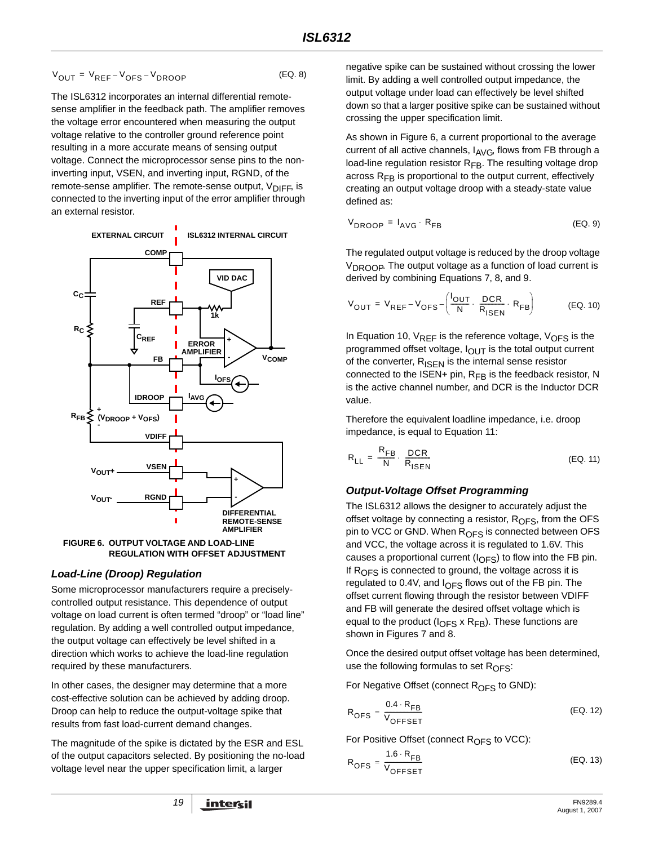$$
V_{OUT} = V_{REF} - V_{OFS} - V_{DROOP}
$$
 (EQ. 8)

The ISL6312 incorporates an internal differential remotesense amplifier in the feedback path. The amplifier removes the voltage error encountered when measuring the output voltage relative to the controller ground reference point resulting in a more accurate means of sensing output voltage. Connect the microprocessor sense pins to the noninverting input, VSEN, and inverting input, RGND, of the remote-sense amplifier. The remote-sense output,  $V_{\text{DIFF}}$ , is connected to the inverting input of the error amplifier through an external resistor.



<span id="page-18-0"></span>**FIGURE 6. OUTPUT VOLTAGE AND LOAD-LINE REGULATION WITH OFFSET ADJUSTMENT**

### *Load-Line (Droop) Regulation*

Some microprocessor manufacturers require a preciselycontrolled output resistance. This dependence of output voltage on load current is often termed "droop" or "load line" regulation. By adding a well controlled output impedance, the output voltage can effectively be level shifted in a direction which works to achieve the load-line regulation required by these manufacturers.

In other cases, the designer may determine that a more cost-effective solution can be achieved by adding droop. Droop can help to reduce the output-voltage spike that results from fast load-current demand changes.

The magnitude of the spike is dictated by the ESR and ESL of the output capacitors selected. By positioning the no-load voltage level near the upper specification limit, a larger

<span id="page-18-1"></span>negative spike can be sustained without crossing the lower limit. By adding a well controlled output impedance, the output voltage under load can effectively be level shifted down so that a larger positive spike can be sustained without crossing the upper specification limit.

As shown in Figure [6,](#page-18-0) a current proportional to the average current of all active channels,  $I_{\text{AVG}}$ , flows from FB through a load-line regulation resistor  $R_{FB}$ . The resulting voltage drop across  $R_{FB}$  is proportional to the output current, effectively creating an output voltage droop with a steady-state value defined as:

$$
V_{\text{DROOP}} = I_{\text{AVG}} \cdot R_{\text{FB}} \tag{EQ.9}
$$

The regulated output voltage is reduced by the droop voltage V<sub>DROOP</sub>. The output voltage as a function of load current is derived by combining Equations 7, [8](#page-18-1), and 9.

<span id="page-18-2"></span>
$$
V_{OUT} = V_{REF} - V_{OFS} - \left(\frac{I_{OUT}}{N} \cdot \frac{DCR}{R_{ISBN}} \cdot R_{FB}\right)
$$
 (EQ. 10)

In Equation [10,](#page-18-2)  $V_{REF}$  is the reference voltage,  $V_{OFF}$  is the programmed offset voltage,  $I_{\text{OUT}}$  is the total output current of the converter,  $R_{\text{ISEN}}$  is the internal sense resistor connected to the ISEN+ pin,  $R_{FB}$  is the feedback resistor, N is the active channel number, and DCR is the Inductor DCR value.

Therefore the equivalent loadline impedance, i.e. droop impedance, is equal to Equation [11:](#page-18-3)

<span id="page-18-3"></span>
$$
R_{LL} = \frac{R_{FB}}{N} \cdot \frac{DCR}{R_{ISEN}}
$$
 (EQ. 11)

## *Output-Voltage Offset Programming*

The ISL6312 allows the designer to accurately adjust the offset voltage by connecting a resistor,  $R<sub>OFS</sub>$ , from the OFS pin to VCC or GND. When  $R_{OFS}$  is connected between OFS and VCC, the voltage across it is regulated to 1.6V. This causes a proportional current ( $I_{\text{OFS}}$ ) to flow into the FB pin. If  $R<sub>OFS</sub>$  is connected to ground, the voltage across it is regulated to 0.4V, and  $I_{OFS}$  flows out of the FB pin. The offset current flowing through the resistor between VDIFF and FB will generate the desired offset voltage which is equal to the product ( $I_{\text{OFS}}$  x R<sub>FB</sub>). These functions are shown in Figures [7](#page-19-0) and [8](#page-19-1).

Once the desired output offset voltage has been determined, use the following formulas to set  $R_{\text{OFS}}$ :

For Negative Offset (connect R<sub>OFS</sub> to GND):

$$
R_{\text{OFS}} = \frac{0.4 \cdot R_{\text{FB}}}{V_{\text{OFFSET}}}
$$
 (EQ. 12)

For Positive Offset (connect R<sub>OFS</sub> to VCC):

$$
R_{\text{OFS}} = \frac{1.6 \cdot R_{\text{FB}}}{V_{\text{OFFSET}}}
$$
 (EQ. 13)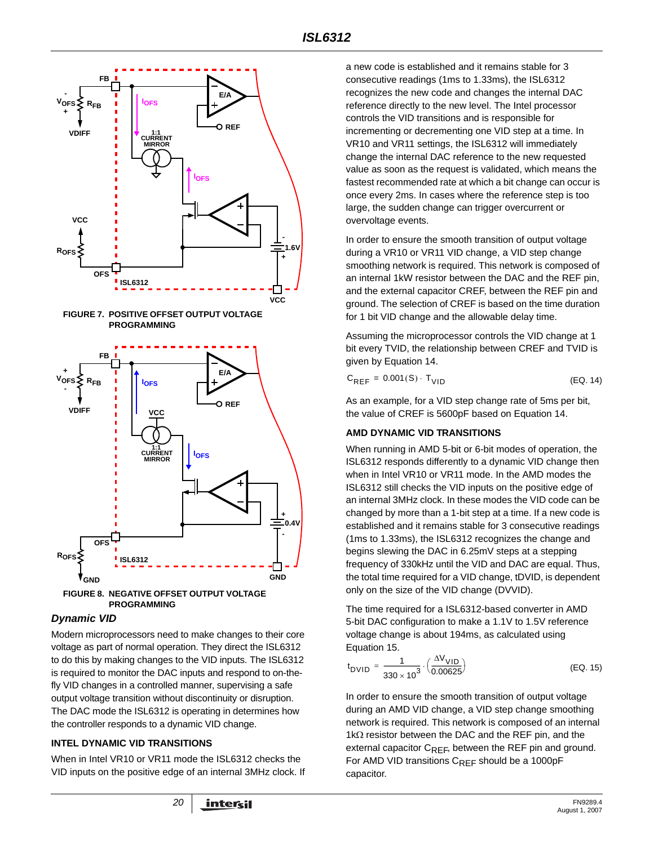<span id="page-19-0"></span>

### <span id="page-19-1"></span>*Dynamic VID*

Modern microprocessors need to make changes to their core voltage as part of normal operation. They direct the ISL6312 to do this by making changes to the VID inputs. The ISL6312 is required to monitor the DAC inputs and respond to on-thefly VID changes in a controlled manner, supervising a safe output voltage transition without discontinuity or disruption. The DAC mode the ISL6312 is operating in determines how the controller responds to a dynamic VID change.

### **INTEL DYNAMIC VID TRANSITIONS**

When in Intel VR10 or VR11 mode the ISL6312 checks the VID inputs on the positive edge of an internal 3MHz clock. If a new code is established and it remains stable for 3 consecutive readings (1ms to 1.33ms), the ISL6312 recognizes the new code and changes the internal DAC reference directly to the new level. The Intel processor controls the VID transitions and is responsible for incrementing or decrementing one VID step at a time. In VR10 and VR11 settings, the ISL6312 will immediately change the internal DAC reference to the new requested value as soon as the request is validated, which means the fastest recommended rate at which a bit change can occur is once every 2ms. In cases where the reference step is too large, the sudden change can trigger overcurrent or overvoltage events.

In order to ensure the smooth transition of output voltage during a VR10 or VR11 VID change, a VID step change smoothing network is required. This network is composed of an internal 1kW resistor between the DAC and the REF pin, and the external capacitor CREF, between the REF pin and ground. The selection of CREF is based on the time duration for 1 bit VID change and the allowable delay time.

Assuming the microprocessor controls the VID change at 1 bit every TVID, the relationship between CREF and TVID is given by Equation 14.

| $C_{REF} = 0.001(S) \cdot T_{VID}$ | (EQ. 14) |
|------------------------------------|----------|
|------------------------------------|----------|

As an example, for a VID step change rate of 5ms per bit, the value of CREF is 5600pF based on Equation 14.

### **AMD DYNAMIC VID TRANSITIONS**

When running in AMD 5-bit or 6-bit modes of operation, the ISL6312 responds differently to a dynamic VID change then when in Intel VR10 or VR11 mode. In the AMD modes the ISL6312 still checks the VID inputs on the positive edge of an internal 3MHz clock. In these modes the VID code can be changed by more than a 1-bit step at a time. If a new code is established and it remains stable for 3 consecutive readings (1ms to 1.33ms), the ISL6312 recognizes the change and begins slewing the DAC in 6.25mV steps at a stepping frequency of 330kHz until the VID and DAC are equal. Thus, the total time required for a VID change, tDVID, is dependent only on the size of the VID change (DVVID).

The time required for a ISL6312-based converter in AMD 5-bit DAC configuration to make a 1.1V to 1.5V reference voltage change is about 194ms, as calculated using Equation [15.](#page-19-2)

<span id="page-19-2"></span>
$$
t_{\text{DVID}} = \frac{1}{330 \times 10^3} \cdot \left(\frac{\Delta V_{\text{VID}}}{0.00625}\right) \tag{EQ.15}
$$

In order to ensure the smooth transition of output voltage during an AMD VID change, a VID step change smoothing network is required. This network is composed of an internal 1kΩ resistor between the DAC and the REF pin, and the external capacitor  $C_{RFF}$ , between the REF pin and ground. For AMD VID transitions  $C_{REF}$  should be a 1000pF capacitor.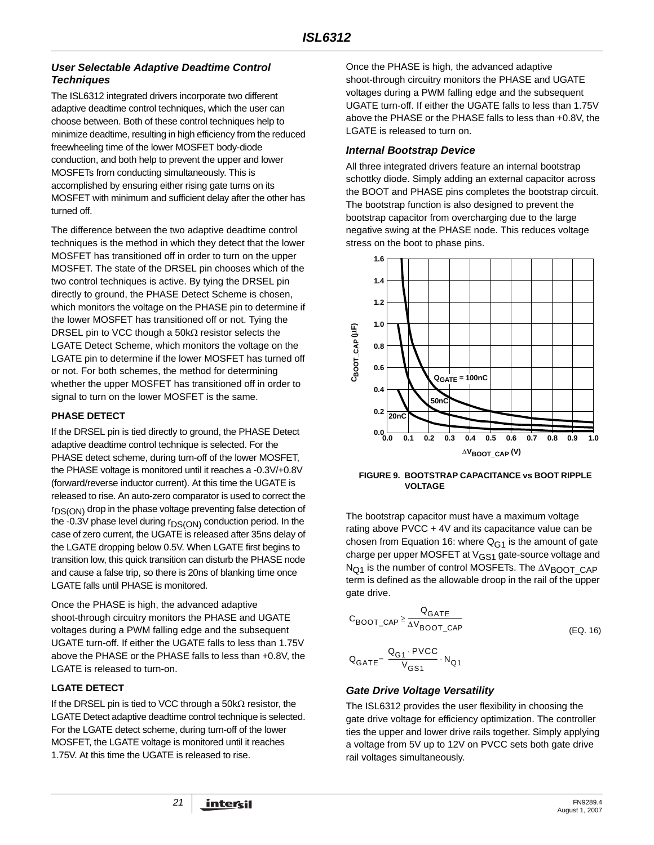### *User Selectable Adaptive Deadtime Control Techniques*

The ISL6312 integrated drivers incorporate two different adaptive deadtime control techniques, which the user can choose between. Both of these control techniques help to minimize deadtime, resulting in high efficiency from the reduced freewheeling time of the lower MOSFET body-diode conduction, and both help to prevent the upper and lower MOSFETs from conducting simultaneously. This is accomplished by ensuring either rising gate turns on its MOSFET with minimum and sufficient delay after the other has turned off.

The difference between the two adaptive deadtime control techniques is the method in which they detect that the lower MOSFET has transitioned off in order to turn on the upper MOSFET. The state of the DRSEL pin chooses which of the two control techniques is active. By tying the DRSEL pin directly to ground, the PHASE Detect Scheme is chosen, which monitors the voltage on the PHASE pin to determine if the lower MOSFET has transitioned off or not. Tying the DRSEL pin to VCC though a 50kΩ resistor selects the LGATE Detect Scheme, which monitors the voltage on the LGATE pin to determine if the lower MOSFET has turned off or not. For both schemes, the method for determining whether the upper MOSFET has transitioned off in order to signal to turn on the lower MOSFET is the same.

#### **PHASE DETECT**

If the DRSEL pin is tied directly to ground, the PHASE Detect adaptive deadtime control technique is selected. For the PHASE detect scheme, during turn-off of the lower MOSFET, the PHASE voltage is monitored until it reaches a -0.3V/+0.8V (forward/reverse inductor current). At this time the UGATE is released to rise. An auto-zero comparator is used to correct the rDS(ON) drop in the phase voltage preventing false detection of the -0.3V phase level during  $r_{DS(ON)}$  conduction period. In the case of zero current, the UGATE is released after 35ns delay of the LGATE dropping below 0.5V. When LGATE first begins to transition low, this quick transition can disturb the PHASE node and cause a false trip, so there is 20ns of blanking time once LGATE falls until PHASE is monitored.

Once the PHASE is high, the advanced adaptive shoot-through circuitry monitors the PHASE and UGATE voltages during a PWM falling edge and the subsequent UGATE turn-off. If either the UGATE falls to less than 1.75V above the PHASE or the PHASE falls to less than +0.8V, the LGATE is released to turn-on.

### **LGATE DETECT**

If the DRSEL pin is tied to VCC through a 50kΩ resistor, the LGATE Detect adaptive deadtime control technique is selected. For the LGATE detect scheme, during turn-off of the lower MOSFET, the LGATE voltage is monitored until it reaches 1.75V. At this time the UGATE is released to rise.

Once the PHASE is high, the advanced adaptive shoot-through circuitry monitors the PHASE and UGATE voltages during a PWM falling edge and the subsequent UGATE turn-off. If either the UGATE falls to less than 1.75V above the PHASE or the PHASE falls to less than +0.8V, the LGATE is released to turn on.

### *Internal Bootstrap Device*

All three integrated drivers feature an internal bootstrap schottky diode. Simply adding an external capacitor across the BOOT and PHASE pins completes the bootstrap circuit. The bootstrap function is also designed to prevent the bootstrap capacitor from overcharging due to the large negative swing at the PHASE node. This reduces voltage stress on the boot to phase pins.



**FIGURE 9. BOOTSTRAP CAPACITANCE vs BOOT RIPPLE VOLTAGE**

The bootstrap capacitor must have a maximum voltage rating above PVCC + 4V and its capacitance value can be chosen from Equation [16:](#page-20-0) where  $Q_{G1}$  is the amount of gate charge per upper MOSFET at  $V_{GS1}$  gate-source voltage and  $N_{\text{O1}}$  is the number of control MOSFETs. The  $\Delta V_{\text{B}\text{O}O}$  CAP term is defined as the allowable droop in the rail of the upper gate drive.

$$
\text{C}_{\text{BOOT}\_\text{CAP}} \geq \frac{\text{Q}_{\text{GATE}}}{\Delta \text{V}_{\text{BOOT}\_\text{CAP}}}
$$

<span id="page-20-0"></span>(EQ. 16)

$$
\mathbf{Q}_{GATE} = \frac{\mathbf{Q}_{G1} \cdot \mathbf{PVCC}}{V_{GS1}} \cdot \mathbf{N}_{Q1}
$$

### *Gate Drive Voltage Versatility*

The ISL6312 provides the user flexibility in choosing the gate drive voltage for efficiency optimization. The controller ties the upper and lower drive rails together. Simply applying a voltage from 5V up to 12V on PVCC sets both gate drive rail voltages simultaneously.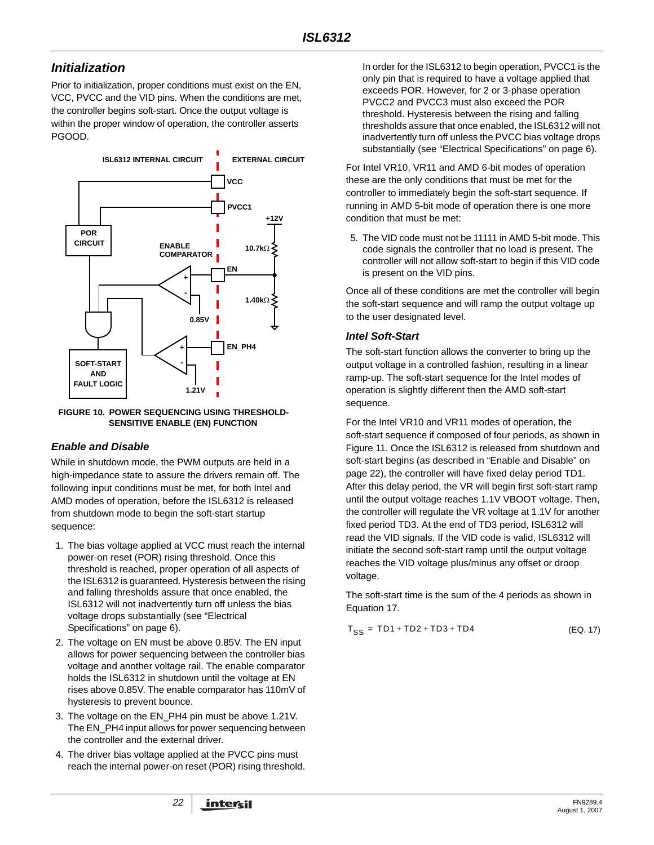## *Initialization*

Prior to initialization, proper conditions must exist on the EN, VCC, PVCC and the VID pins. When the conditions are met, the controller begins soft-start. Once the output voltage is within the proper window of operation, the controller asserts PGOOD.



**FIGURE 10. POWER SEQUENCING USING THRESHOLD-SENSITIVE ENABLE (EN) FUNCTION**

### <span id="page-21-1"></span>*Enable and Disable*

While in shutdown mode, the PWM outputs are held in a high-impedance state to assure the drivers remain off. The following input conditions must be met, for both Intel and AMD modes of operation, before the ISL6312 is released from shutdown mode to begin the soft-start startup sequence:

- 1. The bias voltage applied at VCC must reach the internal power-on reset (POR) rising threshold. Once this threshold is reached, proper operation of all aspects of the ISL6312 is guaranteed. Hysteresis between the rising and falling thresholds assure that once enabled, the ISL6312 will not inadvertently turn off unless the bias voltage drops substantially (see "Electrical Specifications" on [page 6\)](#page-5-2).
- 2. The voltage on EN must be above 0.85V. The EN input allows for power sequencing between the controller bias voltage and another voltage rail. The enable comparator holds the ISL6312 in shutdown until the voltage at EN rises above 0.85V. The enable comparator has 110mV of hysteresis to prevent bounce.
- 3. The voltage on the EN\_PH4 pin must be above 1.21V. The EN\_PH4 input allows for power sequencing between the controller and the external driver.
- 4. The driver bias voltage applied at the PVCC pins must reach the internal power-on reset (POR) rising threshold.

In order for the ISL6312 to begin operation, PVCC1 is the only pin that is required to have a voltage applied that exceeds POR. However, for 2 or 3-phase operation PVCC2 and PVCC3 must also exceed the POR threshold. Hysteresis between the rising and falling thresholds assure that once enabled, the ISL6312 will not inadvertently turn off unless the PVCC bias voltage drops substantially (see "Electrical Specifications" on [page 6\)](#page-5-2).

For Intel VR10, VR11 and AMD 6-bit modes of operation these are the only conditions that must be met for the controller to immediately begin the soft-start sequence. If running in AMD 5-bit mode of operation there is one more condition that must be met:

5. The VID code must not be 11111 in AMD 5-bit mode. This code signals the controller that no load is present. The controller will not allow soft-start to begin if this VID code is present on the VID pins.

Once all of these conditions are met the controller will begin the soft-start sequence and will ramp the output voltage up to the user designated level.

### *Intel Soft-Start*

The soft-start function allows the converter to bring up the output voltage in a controlled fashion, resulting in a linear ramp-up. The soft-start sequence for the Intel modes of operation is slightly different then the AMD soft-start sequence.

For the Intel VR10 and VR11 modes of operation, the soft-start sequence if composed of four periods, as shown in Figure [11](#page-22-2). Once the ISL6312 is released from shutdown and soft-start begins (as described in ["Enable and Disable" on](#page-21-1)  [page 22](#page-21-1)), the controller will have fixed delay period TD1. After this delay period, the VR will begin first soft-start ramp until the output voltage reaches 1.1V VBOOT voltage. Then, the controller will regulate the VR voltage at 1.1V for another fixed period TD3. At the end of TD3 period, ISL6312 will read the VID signals. If the VID code is valid, ISL6312 will initiate the second soft-start ramp until the output voltage reaches the VID voltage plus/minus any offset or droop voltage.

The soft-start time is the sum of the 4 periods as shown in Equation [17.](#page-21-0)

<span id="page-21-0"></span>
$$
T_{SS} = TD1 + TD2 + TD3 + TD4
$$
 (EQ. 17)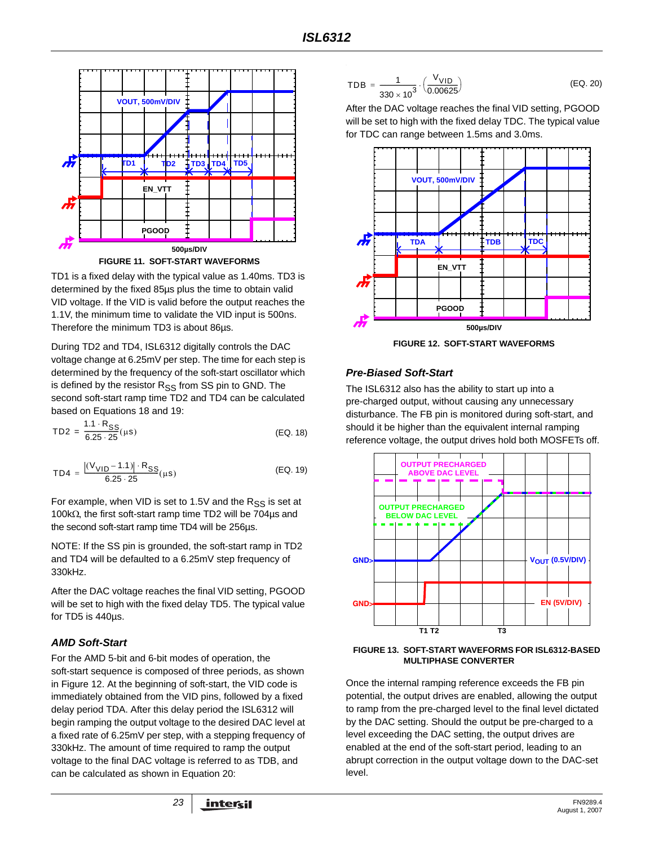

<span id="page-22-2"></span>TD1 is a fixed delay with the typical value as 1.40ms. TD3 is determined by the fixed 85µs plus the time to obtain valid VID voltage. If the VID is valid before the output reaches the 1.1V, the minimum time to validate the VID input is 500ns. Therefore the minimum TD3 is about 86µs.

During TD2 and TD4, ISL6312 digitally controls the DAC voltage change at 6.25mV per step. The time for each step is determined by the frequency of the soft-start oscillator which is defined by the resistor R<sub>SS</sub> from SS pin to GND. The second soft-start ramp time TD2 and TD4 can be calculated based on Equations [18](#page-22-0) and [19:](#page-22-1)

$$
TD2 = \frac{1.1 \cdot R_{SS}}{6.25 \cdot 25} (\mu s)
$$
 (EQ. 18)

$$
TD4 = \frac{|(V_{VID} - 1.1)| \cdot R_{SS}}{6.25 \cdot 25} (\mu s)
$$
 (EQ. 19)

For example, when VID is set to 1.5V and the  $R_{SS}$  is set at 100kΩ, the first soft-start ramp time TD2 will be 704µs and the second soft-start ramp time TD4 will be 256µs.

NOTE: If the SS pin is grounded, the soft-start ramp in TD2 and TD4 will be defaulted to a 6.25mV step frequency of 330kHz.

After the DAC voltage reaches the final VID setting, PGOOD will be set to high with the fixed delay TD5. The typical value for TD5 is 440µs.

### *AMD Soft-Start*

For the AMD 5-bit and 6-bit modes of operation, the soft-start sequence is composed of three periods, as shown in Figure [12](#page-22-3). At the beginning of soft-start, the VID code is immediately obtained from the VID pins, followed by a fixed delay period TDA. After this delay period the ISL6312 will begin ramping the output voltage to the desired DAC level at a fixed rate of 6.25mV per step, with a stepping frequency of 330kHz. The amount of time required to ramp the output voltage to the final DAC voltage is referred to as TDB, and can be calculated as shown in Equation [20](#page-22-4):

<span id="page-22-4"></span>
$$
TDB = \frac{1}{330 \times 10^3} \cdot \left(\frac{V_{VID}}{0.00625}\right)
$$
 (EQ. 20)

After the DAC voltage reaches the final VID setting, PGOOD will be set to high with the fixed delay TDC. The typical value for TDC can range between 1.5ms and 3.0ms.



**FIGURE 12. SOFT-START WAVEFORMS**

#### <span id="page-22-3"></span>*Pre-Biased Soft-Start*

The ISL6312 also has the ability to start up into a pre-charged output, without causing any unnecessary disturbance. The FB pin is monitored during soft-start, and should it be higher than the equivalent internal ramping reference voltage, the output drives hold both MOSFETs off.

<span id="page-22-1"></span><span id="page-22-0"></span>



Once the internal ramping reference exceeds the FB pin potential, the output drives are enabled, allowing the output to ramp from the pre-charged level to the final level dictated by the DAC setting. Should the output be pre-charged to a level exceeding the DAC setting, the output drives are enabled at the end of the soft-start period, leading to an abrupt correction in the output voltage down to the DAC-set level.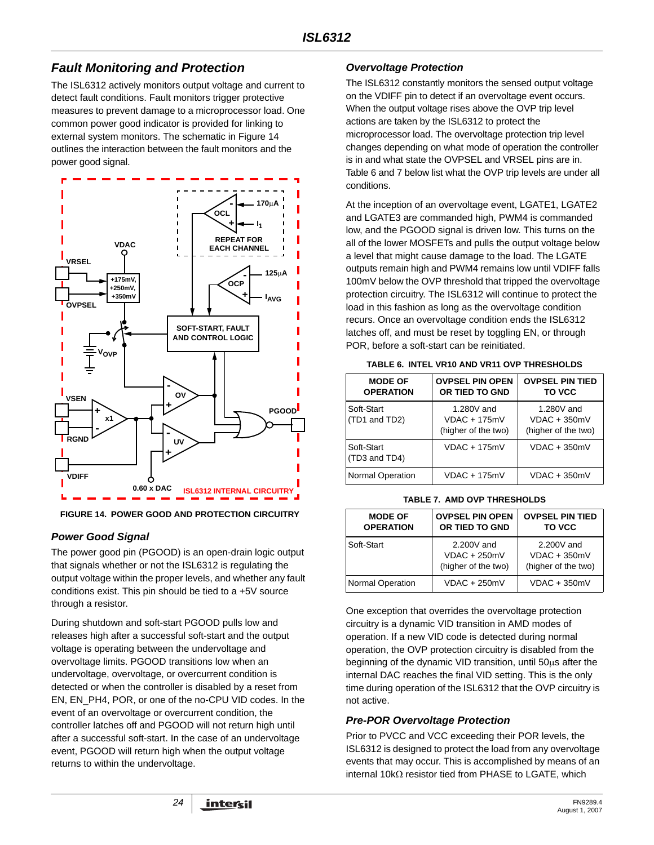## *Fault Monitoring and Protection*

The ISL6312 actively monitors output voltage and current to detect fault conditions. Fault monitors trigger protective measures to prevent damage to a microprocessor load. One common power good indicator is provided for linking to external system monitors. The schematic in Figure 14 outlines the interaction between the fault monitors and the power good signal.



**FIGURE 14. POWER GOOD AND PROTECTION CIRCUITRY**

### *Power Good Signal*

The power good pin (PGOOD) is an open-drain logic output that signals whether or not the ISL6312 is regulating the output voltage within the proper levels, and whether any fault conditions exist. This pin should be tied to a +5V source through a resistor.

During shutdown and soft-start PGOOD pulls low and releases high after a successful soft-start and the output voltage is operating between the undervoltage and overvoltage limits. PGOOD transitions low when an undervoltage, overvoltage, or overcurrent condition is detected or when the controller is disabled by a reset from EN, EN\_PH4, POR, or one of the no-CPU VID codes. In the event of an overvoltage or overcurrent condition, the controller latches off and PGOOD will not return high until after a successful soft-start. In the case of an undervoltage event, PGOOD will return high when the output voltage returns to within the undervoltage.

### *Overvoltage Protection*

The ISL6312 constantly monitors the sensed output voltage on the VDIFF pin to detect if an overvoltage event occurs. When the output voltage rises above the OVP trip level actions are taken by the ISL6312 to protect the microprocessor load. The overvoltage protection trip level changes depending on what mode of operation the controller is in and what state the OVPSEL and VRSEL pins are in. Table [6](#page-23-0) and [7](#page-23-1) below list what the OVP trip levels are under all conditions.

At the inception of an overvoltage event, LGATE1, LGATE2 and LGATE3 are commanded high, PWM4 is commanded low, and the PGOOD signal is driven low. This turns on the all of the lower MOSFETs and pulls the output voltage below a level that might cause damage to the load. The LGATE outputs remain high and PWM4 remains low until VDIFF falls 100mV below the OVP threshold that tripped the overvoltage protection circuitry. The ISL6312 will continue to protect the load in this fashion as long as the overvoltage condition recurs. Once an overvoltage condition ends the ISL6312 latches off, and must be reset by toggling EN, or through POR, before a soft-start can be reinitiated.

<span id="page-23-0"></span>

| <b>MODE OF</b><br><b>OPERATION</b> | <b>OVPSEL PIN OPEN</b><br>OR TIED TO GND            | <b>OVPSEL PIN TIED</b><br>TO VCC                    |
|------------------------------------|-----------------------------------------------------|-----------------------------------------------------|
| Soft-Start<br>(TD1 and TD2)        | 1.280V and<br>$VDAC + 175mV$<br>(higher of the two) | 1.280V and<br>$VDAC + 350mV$<br>(higher of the two) |
| Soft-Start<br>(TD3 and TD4)        | $VDAC + 175mV$                                      | $VDAC + 350mV$                                      |
| <b>Normal Operation</b>            | $VDAC + 175mV$                                      | $VDAC + 350mV$                                      |

**TABLE 6. INTEL VR10 AND VR11 OVP THRESHOLDS**

<span id="page-23-1"></span>

| <b>MODE OF</b><br><b>OPERATION</b> | <b>OVPSEL PIN OPEN</b><br>OR TIED TO GND            | <b>OVPSEL PIN TIED</b><br>TO VCC                    |
|------------------------------------|-----------------------------------------------------|-----------------------------------------------------|
| Soft-Start                         | 2.200V and<br>$VDAC + 250mV$<br>(higher of the two) | 2.200V and<br>$VDAC + 350mV$<br>(higher of the two) |
| <b>Normal Operation</b>            | $VDAC + 250mV$                                      | $VDAC + 350mV$                                      |

One exception that overrides the overvoltage protection circuitry is a dynamic VID transition in AMD modes of operation. If a new VID code is detected during normal operation, the OVP protection circuitry is disabled from the beginning of the dynamic VID transition, until 50μs after the internal DAC reaches the final VID setting. This is the only time during operation of the ISL6312 that the OVP circuitry is not active.

### *Pre-POR Overvoltage Protection*

Prior to PVCC and VCC exceeding their POR levels, the ISL6312 is designed to protect the load from any overvoltage events that may occur. This is accomplished by means of an internal 10kΩ resistor tied from PHASE to LGATE, which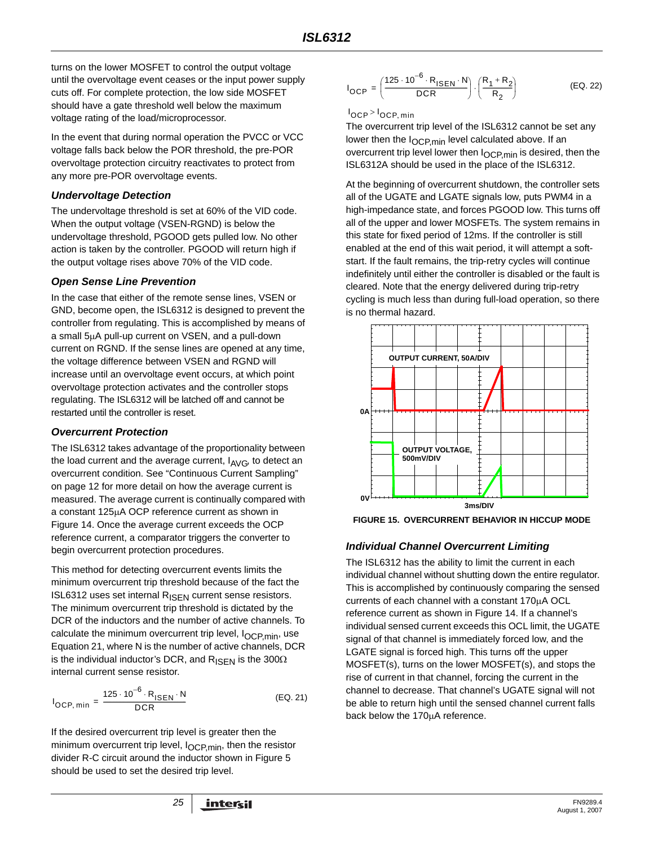turns on the lower MOSFET to control the output voltage until the overvoltage event ceases or the input power supply cuts off. For complete protection, the low side MOSFET should have a gate threshold well below the maximum voltage rating of the load/microprocessor.

In the event that during normal operation the PVCC or VCC voltage falls back below the POR threshold, the pre-POR overvoltage protection circuitry reactivates to protect from any more pre-POR overvoltage events.

### *Undervoltage Detection*

The undervoltage threshold is set at 60% of the VID code. When the output voltage (VSEN-RGND) is below the undervoltage threshold, PGOOD gets pulled low. No other action is taken by the controller. PGOOD will return high if the output voltage rises above 70% of the VID code.

### *Open Sense Line Prevention*

In the case that either of the remote sense lines, VSEN or GND, become open, the ISL6312 is designed to prevent the controller from regulating. This is accomplished by means of a small 5μA pull-up current on VSEN, and a pull-down current on RGND. If the sense lines are opened at any time, the voltage difference between VSEN and RGND will increase until an overvoltage event occurs, at which point overvoltage protection activates and the controller stops regulating. The ISL6312 will be latched off and cannot be restarted until the controller is reset.

### *Overcurrent Protection*

The ISL6312 takes advantage of the proportionality between the load current and the average current,  $I_{AVG}$ , to detect an overcurrent condition. See ["Continuous Current Sampling"](#page-11-3)  [on page 12](#page-11-3) for more detail on how the average current is measured. The average current is continually compared with a constant 125μA OCP reference current as shown in Figure 14. Once the average current exceeds the OCP reference current, a comparator triggers the converter to begin overcurrent protection procedures.

This method for detecting overcurrent events limits the minimum overcurrent trip threshold because of the fact the ISL6312 uses set internal R<sub>ISEN</sub> current sense resistors. The minimum overcurrent trip threshold is dictated by the DCR of the inductors and the number of active channels. To calculate the minimum overcurrent trip level, I<sub>OCP,min</sub>, use Equation 21, where N is the number of active channels, DCR is the individual inductor's DCR, and  $R_{\text{ISEN}}$  is the 300 $\Omega$ internal current sense resistor.

$$
I_{OCP, min} = \frac{125 \cdot 10^{-6} \cdot R_{\text{ISEN}} \cdot N}{DCR}
$$
 (EQ. 21)

If the desired overcurrent trip level is greater then the minimum overcurrent trip level, I<sub>OCP,min</sub>, then the resistor divider R-C circuit around the inductor shown in Figure [5](#page-11-1) should be used to set the desired trip level.

$$
I_{OCP} = \left(\frac{125 \cdot 10^{-6} \cdot R_{\text{ISEN}} \cdot N}{\text{DCR}}\right) \cdot \left(\frac{R_1 + R_2}{R_2}\right) \tag{Eq. 22}
$$

 $I_{\mathsf{OCP}}$  >  $I_{\mathsf{OCP}, \min}$ 

The overcurrent trip level of the ISL6312 cannot be set any lower then the  $I_{OCP,min}$  level calculated above. If an overcurrent trip level lower then  $I_{OCP,min}$  is desired, then the ISL6312A should be used in the place of the ISL6312.

At the beginning of overcurrent shutdown, the controller sets all of the UGATE and LGATE signals low, puts PWM4 in a high-impedance state, and forces PGOOD low. This turns off all of the upper and lower MOSFETs. The system remains in this state for fixed period of 12ms. If the controller is still enabled at the end of this wait period, it will attempt a softstart. If the fault remains, the trip-retry cycles will continue indefinitely until either the controller is disabled or the fault is cleared. Note that the energy delivered during trip-retry cycling is much less than during full-load operation, so there is no thermal hazard.



**FIGURE 15. OVERCURRENT BEHAVIOR IN HICCUP MODE**

### *Individual Channel Overcurrent Limiting*

The ISL6312 has the ability to limit the current in each individual channel without shutting down the entire regulator. This is accomplished by continuously comparing the sensed currents of each channel with a constant 170μA OCL reference current as shown in Figure 14. If a channel's individual sensed current exceeds this OCL limit, the UGATE signal of that channel is immediately forced low, and the LGATE signal is forced high. This turns off the upper MOSFET(s), turns on the lower MOSFET(s), and stops the rise of current in that channel, forcing the current in the channel to decrease. That channel's UGATE signal will not be able to return high until the sensed channel current falls back below the 170μA reference.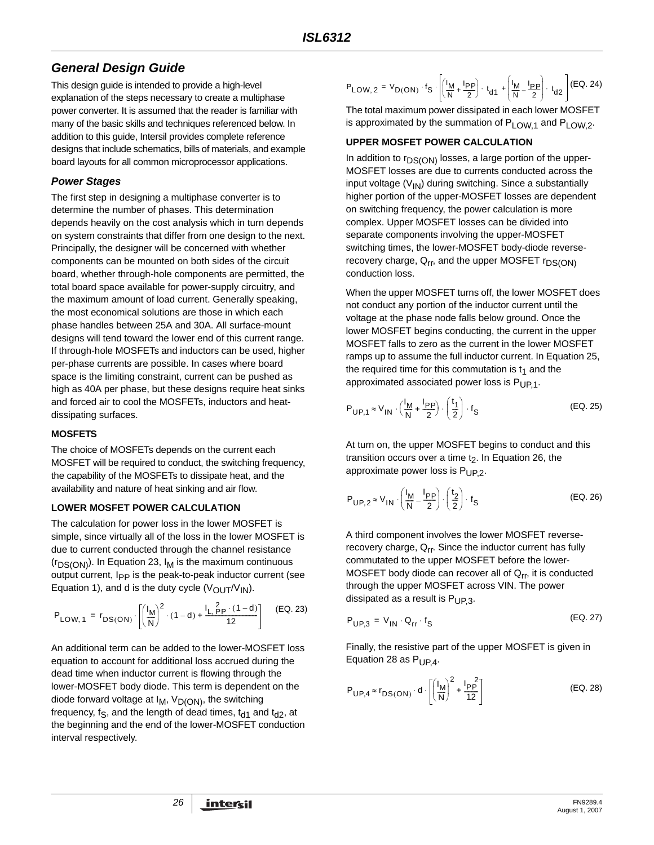# *General Design Guide*

This design guide is intended to provide a high-level explanation of the steps necessary to create a multiphase power converter. It is assumed that the reader is familiar with many of the basic skills and techniques referenced below. In addition to this guide, Intersil provides complete reference designs that include schematics, bills of materials, and example board layouts for all common microprocessor applications.

### *Power Stages*

The first step in designing a multiphase converter is to determine the number of phases. This determination depends heavily on the cost analysis which in turn depends on system constraints that differ from one design to the next. Principally, the designer will be concerned with whether components can be mounted on both sides of the circuit board, whether through-hole components are permitted, the total board space available for power-supply circuitry, and the maximum amount of load current. Generally speaking, the most economical solutions are those in which each phase handles between 25A and 30A. All surface-mount designs will tend toward the lower end of this current range. If through-hole MOSFETs and inductors can be used, higher per-phase currents are possible. In cases where board space is the limiting constraint, current can be pushed as high as 40A per phase, but these designs require heat sinks and forced air to cool the MOSFETs, inductors and heatdissipating surfaces.

### <span id="page-25-1"></span>**MOSFETS**

The choice of MOSFETs depends on the current each MOSFET will be required to conduct, the switching frequency, the capability of the MOSFETs to dissipate heat, and the availability and nature of heat sinking and air flow.

### **LOWER MOSFET POWER CALCULATION**

The calculation for power loss in the lower MOSFET is simple, since virtually all of the loss in the lower MOSFET is due to current conducted through the channel resistance  $(r_{DS(ON)})$ . In Equation 23,  $I_M$  is the maximum continuous output current, Ipp is the peak-to-peak inductor current (see Equation 1), and d is the duty cycle  $(V_{\text{OUT}}/V_{\text{IN}})$ .

$$
P_{LOW, 1} = r_{DS(ON)} \cdot \left[ \left( \frac{I_M}{N} \right)^2 \cdot (1 - d) + \frac{I_L \frac{2}{p} p \cdot (1 - d)}{12} \right] \quad \text{(EQ. 23)}
$$

An additional term can be added to the lower-MOSFET loss equation to account for additional loss accrued during the dead time when inductor current is flowing through the lower-MOSFET body diode. This term is dependent on the diode forward voltage at  $I_M$ ,  $V_{D(ON)}$ , the switching frequency, f<sub>S</sub>, and the length of dead times,  $t_{d1}$  and  $t_{d2}$ , at the beginning and the end of the lower-MOSFET conduction interval respectively.

<sup>P</sup> (EQ. 24) LOW 2, VD ON ( ) <sup>f</sup> S I M N ------ <sup>I</sup> PP <sup>2</sup> <sup>+</sup> --------- ⎝ ⎠ ⎜ ⎟ ⎛ ⎞ t d1 <sup>⋅</sup> <sup>I</sup> M N ------ <sup>I</sup> PP <sup>2</sup> – --------- ⎝ ⎠ ⎜ ⎟ ⎜ ⎟ ⎛ ⎞ t d2 <sup>+</sup> <sup>⋅</sup> <sup>=</sup> ⋅ ⋅

The total maximum power dissipated in each lower MOSFET is approximated by the summation of  $P_{LOW,1}$  and  $P_{LOW,2}$ .

### **UPPER MOSFET POWER CALCULATION**

In addition to  $r_{DS(ON)}$  losses, a large portion of the upper-MOSFET losses are due to currents conducted across the input voltage  $(V_{1N})$  during switching. Since a substantially higher portion of the upper-MOSFET losses are dependent on switching frequency, the power calculation is more complex. Upper MOSFET losses can be divided into separate components involving the upper-MOSFET switching times, the lower-MOSFET body-diode reverserecovery charge,  $Q_{rr}$ , and the upper MOSFET  $r_{DS(ON)}$ conduction loss.

When the upper MOSFET turns off, the lower MOSFET does not conduct any portion of the inductor current until the voltage at the phase node falls below ground. Once the lower MOSFET begins conducting, the current in the upper MOSFET falls to zero as the current in the lower MOSFET ramps up to assume the full inductor current. In Equation 25, the required time for this commutation is  $t_1$  and the approximated associated power loss is  $P_{UP,1}$ .

$$
P_{\text{UP},1} \approx V_{\text{IN}} \cdot \left(\frac{I_{\text{M}}}{N} + \frac{I_{\text{PP}}}{2}\right) \cdot \left(\frac{t_1}{2}\right) \cdot f_{\text{S}}
$$
 (EQ. 25)

At turn on, the upper MOSFET begins to conduct and this transition occurs over a time  $t<sub>2</sub>$ . In Equation 26, the approximate power loss is  $P_{UP,2}$ .

$$
P_{\mathsf{UP},2} \approx V_{\mathsf{IN}} \cdot \left(\frac{I_{\mathsf{M}}}{\mathsf{N}} - \frac{I_{\mathsf{PP}}}{2}\right) \cdot \left(\frac{t_2}{2}\right) \cdot f_{\mathsf{S}} \tag{Eq. 26}
$$

A third component involves the lower MOSFET reverserecovery charge, Q<sub>rr</sub>. Since the inductor current has fully commutated to the upper MOSFET before the lower-MOSFET body diode can recover all of  $Q_{rr}$ , it is conducted through the upper MOSFET across VIN. The power dissipated as a result is  $P_{UP,3}$ .

$$
P_{UP,3} = V_{IN} \cdot Q_{rr} \cdot f_S
$$
 (EQ. 27)

Finally, the resistive part of the upper MOSFET is given in Equation [28](#page-25-0) as  $P_{UP,4}$ .

<span id="page-25-0"></span>
$$
P_{UP,4} \approx r_{DS(ON)} \cdot d \cdot \left[ \left( \frac{I_M}{N} \right)^2 + \frac{I_P^2}{12} \right]
$$
 (EQ. 28)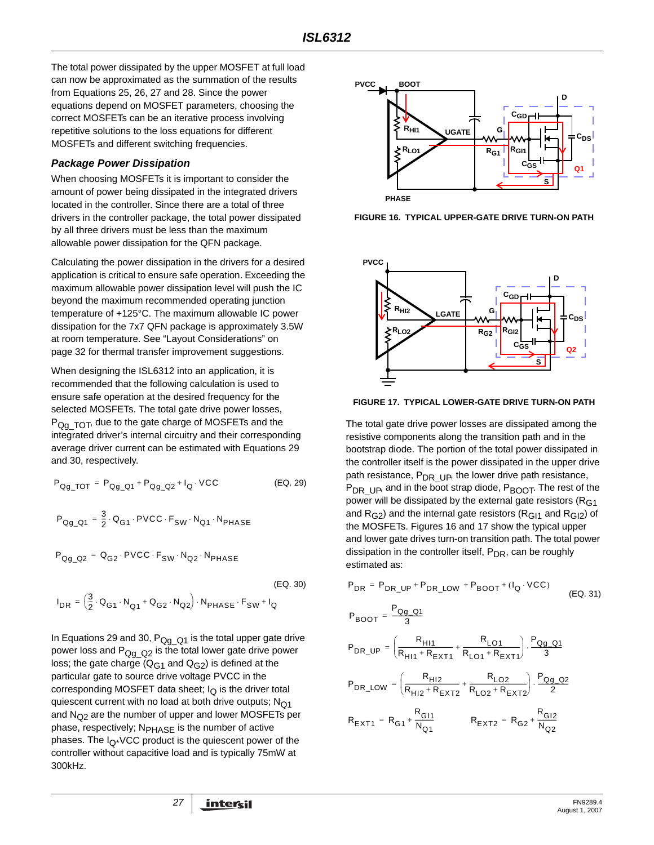The total power dissipated by the upper MOSFET at full load can now be approximated as the summation of the results from Equations 25, 26, 27 and [28.](#page-25-0) Since the power equations depend on MOSFET parameters, choosing the correct MOSFETs can be an iterative process involving repetitive solutions to the loss equations for different MOSFETs and different switching frequencies.

#### *Package Power Dissipation*

When choosing MOSFETs it is important to consider the amount of power being dissipated in the integrated drivers located in the controller. Since there are a total of three drivers in the controller package, the total power dissipated by all three drivers must be less than the maximum allowable power dissipation for the QFN package.

Calculating the power dissipation in the drivers for a desired application is critical to ensure safe operation. Exceeding the maximum allowable power dissipation level will push the IC beyond the maximum recommended operating junction temperature of +125°C. The maximum allowable IC power dissipation for the 7x7 QFN package is approximately 3.5W at room temperature. See ["Layout Considerations" on](#page-31-0)  [page 32](#page-31-0) for thermal transfer improvement suggestions.

When designing the ISL6312 into an application, it is recommended that the following calculation is used to ensure safe operation at the desired frequency for the selected MOSFETs. The total gate drive power losses, P<sub>Qg\_TOT</sub>, due to the gate charge of MOSFETs and the integrated driver's internal circuitry and their corresponding average driver current can be estimated with Equations [29](#page-26-0) and 30, respectively.

$$
P_{Qg\_TOT} = P_{Qg\_Q1} + P_{Qg\_Q2} + I_Q \cdot VCC
$$
 (EQ. 29)

$$
P_{Qg\_Q1} = \frac{3}{2} \cdot Q_{G1} \cdot \text{PVCC} \cdot F_{SW} \cdot N_{Q1} \cdot N_{PHASE}
$$
  
\n
$$
P_{Qg\_Q2} = Q_{G2} \cdot \text{PVCC} \cdot F_{SW} \cdot N_{Q2} \cdot N_{PHASE}
$$
  
\n
$$
I_{DR} = \left(\frac{3}{2} \cdot Q_{G1} \cdot N_{Q1} + Q_{G2} \cdot N_{Q2}\right) \cdot N_{PHASE} \cdot F_{SW} + I_Q
$$
  
\n(EQ. 30)

In Equations [29](#page-26-0) and 30,  $P_{Qq-Q1}$  is the total upper gate drive power loss and  $P_{Qq-Q2}$  is the total lower gate drive power loss; the gate charge  $(Q_{G1}$  and  $Q_{G2})$  is defined at the particular gate to source drive voltage PVCC in the corresponding MOSFET data sheet;  $I_{\Omega}$  is the driver total quiescent current with no load at both drive outputs;  $N<sub>O1</sub>$ and  $N_{\Omega^2}$  are the number of upper and lower MOSFETs per phase, respectively; N<sub>PHASE</sub> is the number of active phases. The  $I_{\Omega^*}$ VCC product is the quiescent power of the controller without capacitive load and is typically 75mW at 300kHz.



**FIGURE 16. TYPICAL UPPER-GATE DRIVE TURN-ON PATH**



**FIGURE 17. TYPICAL LOWER-GATE DRIVE TURN-ON PATH**

<span id="page-26-0"></span>The total gate drive power losses are dissipated among the resistive components along the transition path and in the bootstrap diode. The portion of the total power dissipated in the controller itself is the power dissipated in the upper drive path resistance, P<sub>DR UP</sub>, the lower drive path resistance,  $P_{DR-UP}$ , and in the boot strap diode,  $P_{BOOT}$ . The rest of the power will be dissipated by the external gate resistors ( $R<sub>G1</sub>$ and  $R_{G2}$ ) and the internal gate resistors ( $R_{G11}$  and  $R_{G12}$ ) of the MOSFETs. Figures 16 and 17 show the typical upper and lower gate drives turn-on transition path. The total power dissipation in the controller itself,  $P_{DR}$ , can be roughly estimated as:

$$
P_{DR} = P_{DR\_UP} + P_{DR\_LOW} + P_{BOOT} + (I_Q \cdot VCC)
$$
\n(Eq. 31)  
\n
$$
P_{BOOT} = \frac{P_{Qg\_Q1}}{3}
$$
\n
$$
P_{DR\_UP} = \left(\frac{R_{H11}}{R_{H11} + R_{EXT1}} + \frac{R_{LO1}}{R_{LO1} + R_{EXT1}}\right) \cdot \frac{P_{Qg\_Q1}}{3}
$$
\n
$$
P_{DR\_LOW} = \left(\frac{R_{H12}}{R_{H12} + R_{EXT2}} + \frac{R_{LO2}}{R_{LO2} + R_{EXT2}}\right) \cdot \frac{P_{Qg\_Q2}}{2}
$$
\n
$$
R_{EXT1} = R_{G1} + \frac{R_{GI1}}{N_{Q1}}
$$
\n
$$
R_{EXT2} = R_{G2} + \frac{R_{GI2}}{N_{Q2}}
$$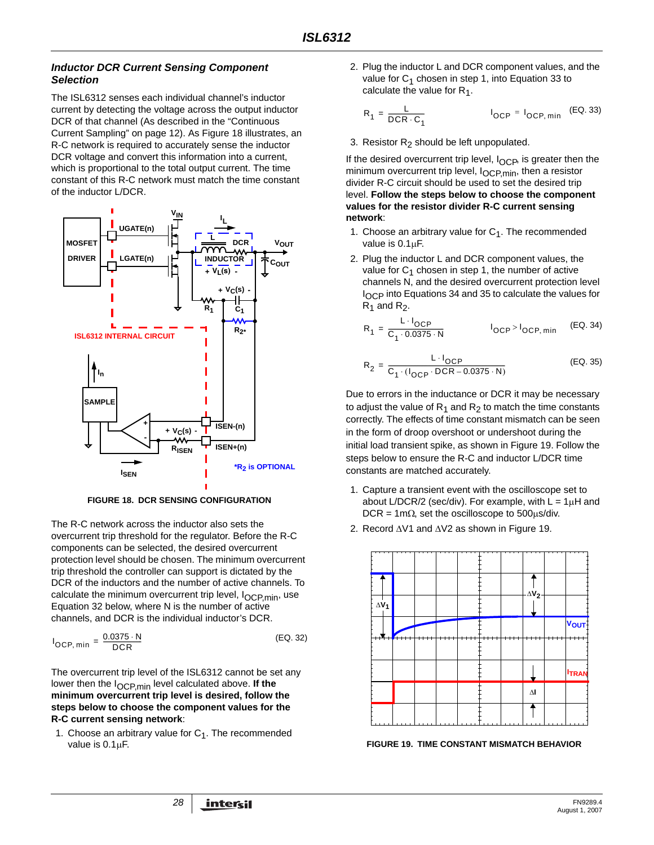#### *Inductor DCR Current Sensing Component Selection*

The ISL6312 senses each individual channel's inductor current by detecting the voltage across the output inductor DCR of that channel (As described in the ["Continuous](#page-11-3)  [Current Sampling" on page 12](#page-11-3)). As Figure [18](#page-27-1) illustrates, an R-C network is required to accurately sense the inductor DCR voltage and convert this information into a current, which is proportional to the total output current. The time constant of this R-C network must match the time constant of the inductor L/DCR.



**FIGURE 18. DCR SENSING CONFIGURATION**

<span id="page-27-1"></span>The R-C network across the inductor also sets the overcurrent trip threshold for the regulator. Before the R-C components can be selected, the desired overcurrent protection level should be chosen. The minimum overcurrent trip threshold the controller can support is dictated by the DCR of the inductors and the number of active channels. To calculate the minimum overcurrent trip level,  $I_{OCP,min}$ , use Equation [32](#page-27-0) below, where N is the number of active channels, and DCR is the individual inductor's DCR.

$$
I_{OCP, min} = \frac{0.0375 \cdot N}{DCR}
$$
 (EQ. 32)

The overcurrent trip level of the ISL6312 cannot be set any lower then the IOCP,min level calculated above. **If the minimum overcurrent trip level is desired, follow the steps below to choose the component values for the R-C current sensing network**:

1. Choose an arbitrary value for  $C_1$ . The recommended value is 0.1μF.

2. Plug the inductor L and DCR component values, and the value for  $C_1$  chosen in step 1, into Equation [33](#page-27-3) to calculate the value for  $R_1$ .

<span id="page-27-3"></span>
$$
R_1 = \frac{L}{DCR \cdot C_1}
$$
 
$$
I_{OCP} = I_{OCP,min}
$$
 (EQ. 33)

3. Resistor  $R_2$  should be left unpopulated.

If the desired overcurrent trip level,  $I_{OCP}$ , is greater then the minimum overcurrent trip level, I<sub>OCP,min</sub>, then a resistor divider R-C circuit should be used to set the desired trip level. **Follow the steps below to choose the component values for the resistor divider R-C current sensing network**:

- 1. Choose an arbitrary value for  $C_1$ . The recommended value is 0.1μF.
- 2. Plug the inductor L and DCR component values, the value for  $C_1$  chosen in step 1, the number of active channels N, and the desired overcurrent protection level I<sub>OCP</sub> into Equations [34](#page-27-4) and [35](#page-27-5) to calculate the values for  $R_1$  and  $R_2$ .

<span id="page-27-4"></span>
$$
R_1 = \frac{L \cdot I_{OCP}}{C_1 \cdot 0.0375 \cdot N} \qquad I_{OCP} > I_{OCP, min} \qquad (EQ. 34)
$$

<span id="page-27-5"></span>
$$
R_2 = \frac{L \cdot I_{OCP}}{C_1 \cdot (I_{OCP} \cdot DCR - 0.0375 \cdot N)}
$$
 (EQ. 35)

Due to errors in the inductance or DCR it may be necessary to adjust the value of  $R_1$  and  $R_2$  to match the time constants correctly. The effects of time constant mismatch can be seen in the form of droop overshoot or undershoot during the initial load transient spike, as shown in Figure [19](#page-27-2). Follow the steps below to ensure the R-C and inductor L/DCR time constants are matched accurately.

- 1. Capture a transient event with the oscilloscope set to about L/DCR/2 (sec/div). For example, with  $L = 1 \mu H$  and DCR = 1m $\Omega$ , set the oscilloscope to 500 $\mu$ s/div.
- 2. Record ΔV1 and ΔV2 as shown in Figure [19](#page-27-2).

<span id="page-27-0"></span>

<span id="page-27-2"></span>**FIGURE 19. TIME CONSTANT MISMATCH BEHAVIOR**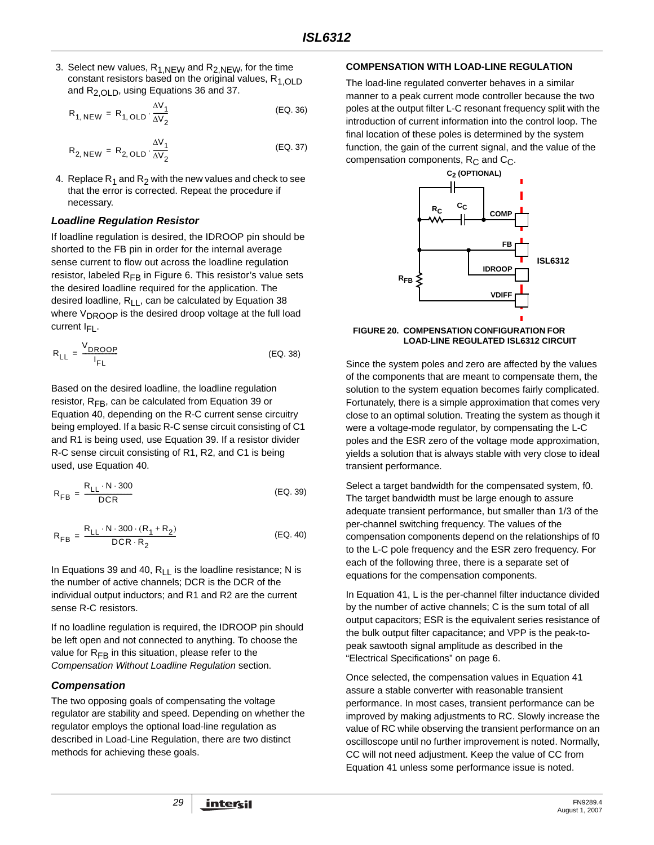3. Select new values,  $R_{1,NEW}$  and  $R_{2,NEW}$ , for the time constant resistors based on the original values,  $R_{1,OLD}$ and R<sub>2,OLD</sub>, using Equations [36](#page-28-0) and [37](#page-28-1).

$$
R_{1, NEW} = R_{1, OLD} \cdot \frac{\Delta V_1}{\Delta V_2}
$$
 (EQ. 36)

$$
R_{2, NEW} = R_{2, OLD} \cdot \frac{\Delta V_1}{\Delta V_2}
$$
 (EQ. 37)

4. Replace  $R_1$  and  $R_2$  with the new values and check to see that the error is corrected. Repeat the procedure if necessary.

#### *Loadline Regulation Resistor*

If loadline regulation is desired, the IDROOP pin should be shorted to the FB pin in order for the internal average sense current to flow out across the loadline regulation resistor, labeled  $R_{FB}$  in Figure [6](#page-18-0). This resistor's value sets the desired loadline required for the application. The desired loadline,  $R_{11}$ , can be calculated by Equation 38 where V<sub>DROOP</sub> is the desired droop voltage at the full load current  $I_{FI}$ .

$$
R_{LL} = \frac{V_{DROOP}}{I_{FL}}
$$
 (EQ. 38)

Based on the desired loadline, the loadline regulation resistor,  $R_{FB}$ , can be calculated from Equation [39](#page-28-3) or Equation [40,](#page-28-4) depending on the R-C current sense circuitry being employed. If a basic R-C sense circuit consisting of C1 and R1 is being used, use Equation [39](#page-28-3). If a resistor divider R-C sense circuit consisting of R1, R2, and C1 is being used, use Equation [40](#page-28-4).

$$
R_{FB} = \frac{R_{LL} \cdot N \cdot 300}{DCR}
$$
 (EQ. 39)

$$
R_{FB} = \frac{R_{LL} \cdot N \cdot 300 \cdot (R_1 + R_2)}{DCR \cdot R_2}
$$
 (EQ. 40)

In Equations [39](#page-28-3) and [40](#page-28-4),  $R_{11}$  is the loadline resistance; N is the number of active channels; DCR is the DCR of the individual output inductors; and R1 and R2 are the current sense R-C resistors.

If no loadline regulation is required, the IDROOP pin should be left open and not connected to anything. To choose the value for  $R_{FB}$  in this situation, please refer to the *Compensation Without Loadline Regulation* section.

### *Compensation*

The two opposing goals of compensating the voltage regulator are stability and speed. Depending on whether the regulator employs the optional load-line regulation as described in Load-Line Regulation, there are two distinct methods for achieving these goals.

#### **COMPENSATION WITH LOAD-LINE REGULATION**

<span id="page-28-1"></span><span id="page-28-0"></span>The load-line regulated converter behaves in a similar manner to a peak current mode controller because the two poles at the output filter L-C resonant frequency split with the introduction of current information into the control loop. The final location of these poles is determined by the system function, the gain of the current signal, and the value of the compensation components,  $R_C$  and  $C_C$ .



#### <span id="page-28-5"></span>**FIGURE 20. COMPENSATION CONFIGURATION FOR LOAD-LINE REGULATED ISL6312 CIRCUIT**

<span id="page-28-2"></span>Since the system poles and zero are affected by the values of the components that are meant to compensate them, the solution to the system equation becomes fairly complicated. Fortunately, there is a simple approximation that comes very close to an optimal solution. Treating the system as though it were a voltage-mode regulator, by compensating the L-C poles and the ESR zero of the voltage mode approximation, yields a solution that is always stable with very close to ideal transient performance.

<span id="page-28-4"></span><span id="page-28-3"></span>Select a target bandwidth for the compensated system, f0. The target bandwidth must be large enough to assure adequate transient performance, but smaller than 1/3 of the per-channel switching frequency. The values of the compensation components depend on the relationships of f0 to the L-C pole frequency and the ESR zero frequency. For each of the following three, there is a separate set of equations for the compensation components.

In Equation [41,](#page-29-0) L is the per-channel filter inductance divided by the number of active channels; C is the sum total of all output capacitors; ESR is the equivalent series resistance of the bulk output filter capacitance; and VPP is the peak-topeak sawtooth signal amplitude as described in the "Electrical Specifications" on [page 6](#page-5-2).

Once selected, the compensation values in Equation [41](#page-29-0)  assure a stable converter with reasonable transient performance. In most cases, transient performance can be improved by making adjustments to RC. Slowly increase the value of RC while observing the transient performance on an oscilloscope until no further improvement is noted. Normally, CC will not need adjustment. Keep the value of CC from Equation [41](#page-29-0) unless some performance issue is noted.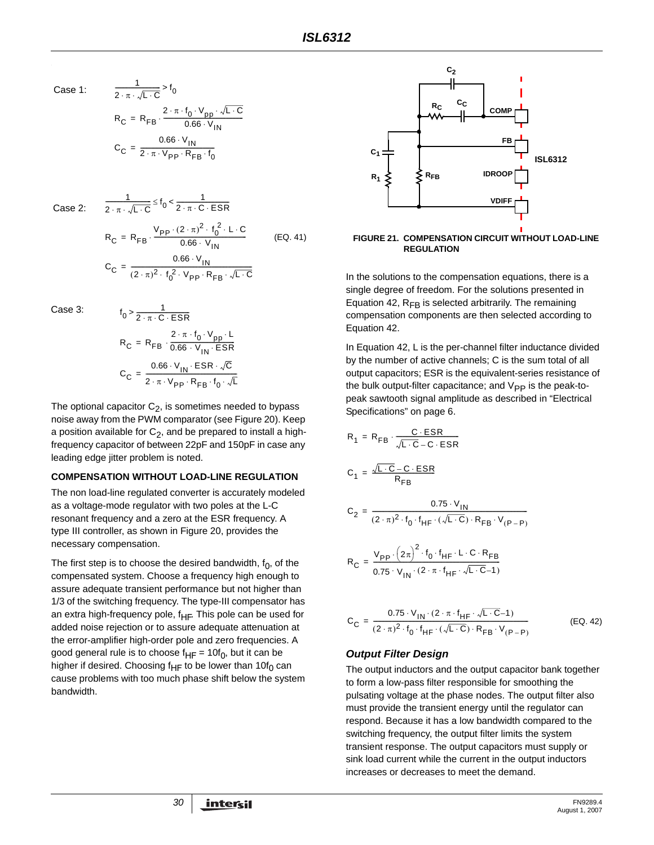Case 1:

$$
\frac{1}{2 \cdot \pi \cdot \sqrt{L \cdot C}} > f_0
$$
  
\n
$$
R_C = R_{FB} \cdot \frac{2 \cdot \pi \cdot f_0 \cdot V_{pp} \cdot \sqrt{L \cdot C}}{0.66 \cdot V_{IN}}
$$
  
\n
$$
C_C = \frac{0.66 \cdot V_{IN}}{2 \cdot \pi \cdot V_{pp} \cdot R_{FB} \cdot f_0}
$$

Case 2:

$$
\frac{1}{2 \cdot \pi \cdot \sqrt{L \cdot C}} \le f_0 < \frac{1}{2 \cdot \pi \cdot C \cdot ESR}
$$
\n
$$
R_C = R_{FB} \cdot \frac{V_{PP} \cdot (2 \cdot \pi)^2 \cdot f_0^2 \cdot L \cdot C}{0.66 \cdot V_{IN}}
$$
\n
$$
C_C = \frac{0.66 \cdot V_{IN}}{(2 \cdot \pi)^2 \cdot f_0^2 \cdot V_{PP} \cdot R_{FB} \cdot \sqrt{L \cdot C}}
$$
\n(EQ. 41)

Case 3:

$$
f_0 > \frac{1}{2 \cdot \pi \cdot C \cdot ESR}
$$
  
\n
$$
R_C = R_{FB} \cdot \frac{2 \cdot \pi \cdot f_0 \cdot V_{pp} \cdot L}{0.66 \cdot V_{IN} \cdot ESR}
$$
  
\n
$$
C_C = \frac{0.66 \cdot V_{IN} \cdot ESR \cdot \sqrt{C}}{2 \cdot \pi \cdot V_{pp} \cdot R_{FB} \cdot f_0 \cdot \sqrt{L}}
$$

1

The optional capacitor  $C_2$ , is sometimes needed to bypass noise away from the PWM comparator (see Figure [20](#page-28-5)). Keep a position available for  $C_2$ , and be prepared to install a highfrequency capacitor of between 22pF and 150pF in case any leading edge jitter problem is noted.

#### **COMPENSATION WITHOUT LOAD-LINE REGULATION**

The non load-line regulated converter is accurately modeled as a voltage-mode regulator with two poles at the L-C resonant frequency and a zero at the ESR frequency. A type III controller, as shown in Figure [20,](#page-28-5) provides the necessary compensation.

The first step is to choose the desired bandwidth,  $f_0$ , of the compensated system. Choose a frequency high enough to assure adequate transient performance but not higher than 1/3 of the switching frequency. The type-III compensator has an extra high-frequency pole,  $f_{HF}$ . This pole can be used for added noise rejection or to assure adequate attenuation at the error-amplifier high-order pole and zero frequencies. A good general rule is to choose  $f_{HF} = 10f_0$ , but it can be higher if desired. Choosing  $f_{HF}$  to be lower than 10 $f_0$  can cause problems with too much phase shift below the system bandwidth.



<span id="page-29-0"></span>

In the solutions to the compensation equations, there is a single degree of freedom. For the solutions presented in Equation [42,](#page-29-1)  $R_{FB}$  is selected arbitrarily. The remaining compensation components are then selected according to Equation [42.](#page-29-1)

In Equation [42,](#page-29-1) L is the per-channel filter inductance divided by the number of active channels; C is the sum total of all output capacitors; ESR is the equivalent-series resistance of the bulk output-filter capacitance; and  $V_{PP}$  is the peak-topeak sawtooth signal amplitude as described in "Electrical Specifications" on [page 6](#page-5-2).

$$
R_{1} = R_{FB} \cdot \frac{C \cdot ESR}{\sqrt{L \cdot C} - C \cdot ESR}
$$
\n
$$
C_{1} = \frac{\sqrt{L \cdot C} - C \cdot ESR}{R_{FB}}
$$
\n
$$
C_{2} = \frac{0.75 \cdot V_{IN}}{(2 \cdot \pi)^{2} \cdot f_{0} \cdot f_{HF} \cdot (\sqrt{L \cdot C}) \cdot R_{FB} \cdot V_{(P-P)}}
$$
\n
$$
R_{C} = \frac{V_{PP} \cdot (2\pi)^{2} \cdot f_{0} \cdot f_{HF} \cdot L \cdot C \cdot R_{FB}}{0.75 \cdot V_{IN} \cdot (2 \cdot \pi \cdot f_{HF} \cdot \sqrt{L \cdot C} - 1)}
$$

<span id="page-29-1"></span>
$$
C_C = \frac{0.75 \cdot V_{IN} \cdot (2 \cdot \pi \cdot f_{HF} \cdot \sqrt{L \cdot C} - 1)}{(2 \cdot \pi)^2 \cdot f_0 \cdot f_{HF} \cdot (\sqrt{L \cdot C}) \cdot R_{FB} \cdot V_{(P-P)}}
$$
(EQ. 42)

#### *Output Filter Design*

The output inductors and the output capacitor bank together to form a low-pass filter responsible for smoothing the pulsating voltage at the phase nodes. The output filter also must provide the transient energy until the regulator can respond. Because it has a low bandwidth compared to the switching frequency, the output filter limits the system transient response. The output capacitors must supply or sink load current while the current in the output inductors increases or decreases to meet the demand.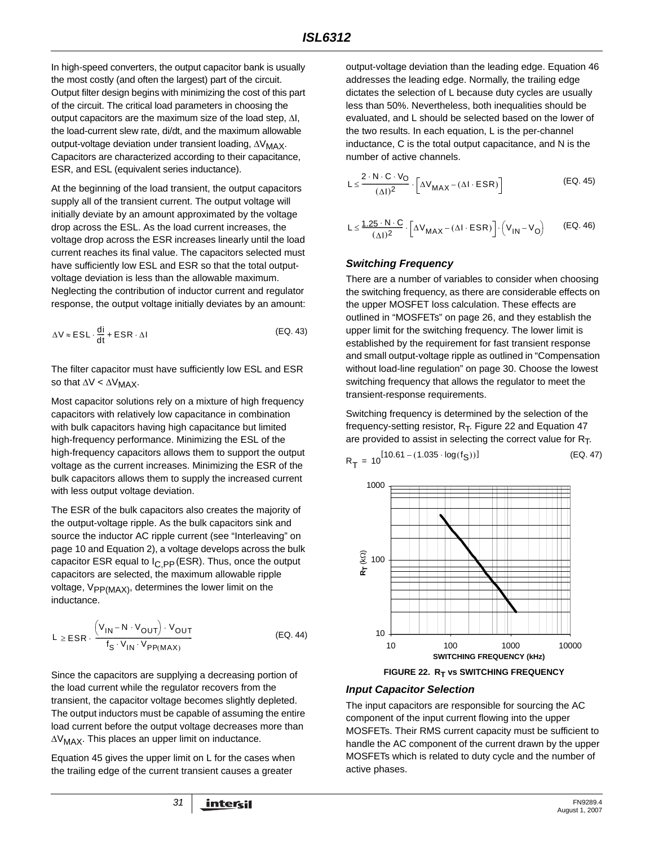In high-speed converters, the output capacitor bank is usually the most costly (and often the largest) part of the circuit. Output filter design begins with minimizing the cost of this part of the circuit. The critical load parameters in choosing the output capacitors are the maximum size of the load step, ΔI, the load-current slew rate, di/dt, and the maximum allowable output-voltage deviation under transient loading, ΔV<sub>MAX</sub>. Capacitors are characterized according to their capacitance, ESR, and ESL (equivalent series inductance).

At the beginning of the load transient, the output capacitors supply all of the transient current. The output voltage will initially deviate by an amount approximated by the voltage drop across the ESL. As the load current increases, the voltage drop across the ESR increases linearly until the load current reaches its final value. The capacitors selected must have sufficiently low ESL and ESR so that the total outputvoltage deviation is less than the allowable maximum. Neglecting the contribution of inductor current and regulator response, the output voltage initially deviates by an amount:

$$
\Delta V \approx ESL \cdot \frac{di}{dt} + ESR \cdot \Delta I
$$
 (EQ. 43)

The filter capacitor must have sufficiently low ESL and ESR so that  $\Delta V < \Delta V_{MAX}$ .

Most capacitor solutions rely on a mixture of high frequency capacitors with relatively low capacitance in combination with bulk capacitors having high capacitance but limited high-frequency performance. Minimizing the ESL of the high-frequency capacitors allows them to support the output voltage as the current increases. Minimizing the ESR of the bulk capacitors allows them to supply the increased current with less output voltage deviation.

The ESR of the bulk capacitors also creates the majority of the output-voltage ripple. As the bulk capacitors sink and source the inductor AC ripple current (see ["Interleaving" on](#page-9-1)  [page 10](#page-9-1) and Equation 2), a voltage develops across the bulk capacitor ESR equal to  $I_{C,PP}$  (ESR). Thus, once the output capacitors are selected, the maximum allowable ripple voltage,  $V_{PP(MAX)}$ , determines the lower limit on the inductance.

$$
L \geq ESR \cdot \frac{\left(V_{1N} - N \cdot V_{OUT}\right) \cdot V_{OUT}}{f_S \cdot V_{1N} \cdot V_{PP(MAX)}} \tag{Eq. 44}
$$

Since the capacitors are supplying a decreasing portion of the load current while the regulator recovers from the transient, the capacitor voltage becomes slightly depleted. The output inductors must be capable of assuming the entire load current before the output voltage decreases more than ΔVMAX. This places an upper limit on inductance.

Equation 45 gives the upper limit on L for the cases when the trailing edge of the current transient causes a greater

output-voltage deviation than the leading edge. Equation 46 addresses the leading edge. Normally, the trailing edge dictates the selection of L because duty cycles are usually less than 50%. Nevertheless, both inequalities should be evaluated, and L should be selected based on the lower of the two results. In each equation, L is the per-channel inductance, C is the total output capacitance, and N is the number of active channels.

$$
L \leq \frac{2 \cdot N \cdot C \cdot V_O}{(\Delta I)^2} \cdot \left[ \Delta V_{MAX} - (\Delta I \cdot ESR) \right]
$$
 (EQ. 45)

$$
L \leq \frac{1.25 \cdot N \cdot C}{(\Delta I)^2} \cdot \left[ \Delta V_{MAX} - (\Delta I \cdot ESR) \right] \cdot \left( V_{IN} - V_O \right) \tag{EQ.46}
$$

#### *Switching Frequency*

There are a number of variables to consider when choosing the switching frequency, as there are considerable effects on the upper MOSFET loss calculation. These effects are outlined in ["MOSFETs" on page 26,](#page-25-1) and they establish the upper limit for the switching frequency. The lower limit is established by the requirement for fast transient response and small output-voltage ripple as outlined in "Compensation without load-line regulation" on page 30. Choose the lowest switching frequency that allows the regulator to meet the transient-response requirements.

Switching frequency is determined by the selection of the frequency-setting resistor,  $R_T$ . Figure 22 and Equation 47 are provided to assist in selecting the correct value for  $R_T$ .

$$
R_{\mathsf{T}} = 10^{\left[10.61 - (1.035 \cdot \log(f_{\mathsf{S}}))\right]}
$$
 (EQ. 47)



**FIGURE 22. RT vs SWITCHING FREQUENCY** 

#### *Input Capacitor Selection*

The input capacitors are responsible for sourcing the AC component of the input current flowing into the upper MOSFETs. Their RMS current capacity must be sufficient to handle the AC component of the current drawn by the upper MOSFETs which is related to duty cycle and the number of active phases.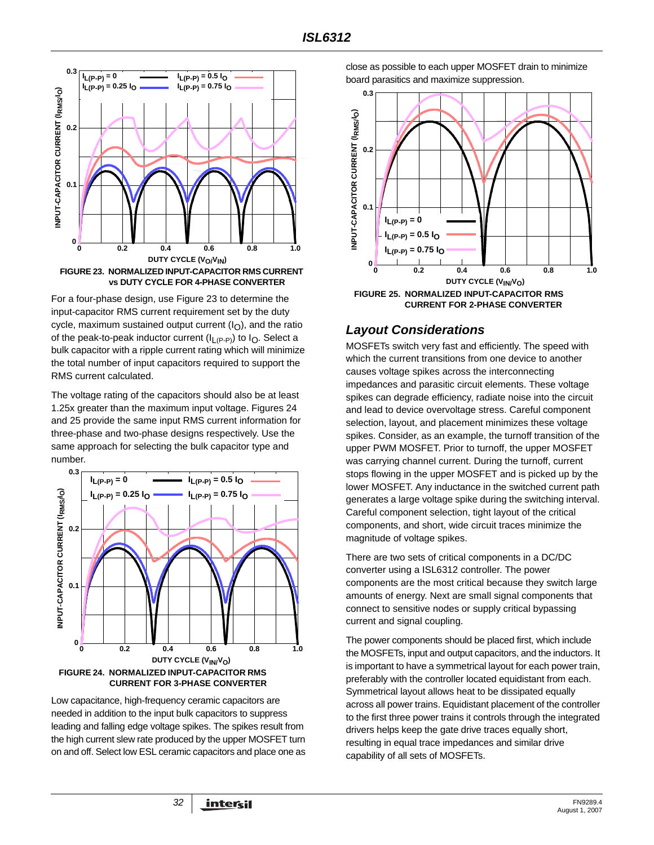

<span id="page-31-1"></span>For a four-phase design, use Figure [23](#page-31-1) to determine the input-capacitor RMS current requirement set by the duty cycle, maximum sustained output current  $(I<sub>O</sub>)$ , and the ratio of the peak-to-peak inductor current  $(I_{L(P-P)})$  to  $I_{\Omega}$ . Select a bulk capacitor with a ripple current rating which will minimize the total number of input capacitors required to support the RMS current calculated.

The voltage rating of the capacitors should also be at least 1.25x greater than the maximum input voltage. Figures [24](#page-31-2) and [25](#page-31-3) provide the same input RMS current information for three-phase and two-phase designs respectively. Use the same approach for selecting the bulk capacitor type and number.



<span id="page-31-2"></span>Low capacitance, high-frequency ceramic capacitors are needed in addition to the input bulk capacitors to suppress leading and falling edge voltage spikes. The spikes result from the high current slew rate produced by the upper MOSFET turn on and off. Select low ESL ceramic capacitors and place one as close as possible to each upper MOSFET drain to minimize board parasitics and maximize suppression.



### <span id="page-31-3"></span><span id="page-31-0"></span>*Layout Considerations*

MOSFETs switch very fast and efficiently. The speed with which the current transitions from one device to another causes voltage spikes across the interconnecting impedances and parasitic circuit elements. These voltage spikes can degrade efficiency, radiate noise into the circuit and lead to device overvoltage stress. Careful component selection, layout, and placement minimizes these voltage spikes. Consider, as an example, the turnoff transition of the upper PWM MOSFET. Prior to turnoff, the upper MOSFET was carrying channel current. During the turnoff, current stops flowing in the upper MOSFET and is picked up by the lower MOSFET. Any inductance in the switched current path generates a large voltage spike during the switching interval. Careful component selection, tight layout of the critical components, and short, wide circuit traces minimize the magnitude of voltage spikes.

There are two sets of critical components in a DC/DC converter using a ISL6312 controller. The power components are the most critical because they switch large amounts of energy. Next are small signal components that connect to sensitive nodes or supply critical bypassing current and signal coupling.

The power components should be placed first, which include the MOSFETs, input and output capacitors, and the inductors. It is important to have a symmetrical layout for each power train, preferably with the controller located equidistant from each. Symmetrical layout allows heat to be dissipated equally across all power trains. Equidistant placement of the controller to the first three power trains it controls through the integrated drivers helps keep the gate drive traces equally short, resulting in equal trace impedances and similar drive capability of all sets of MOSFETs.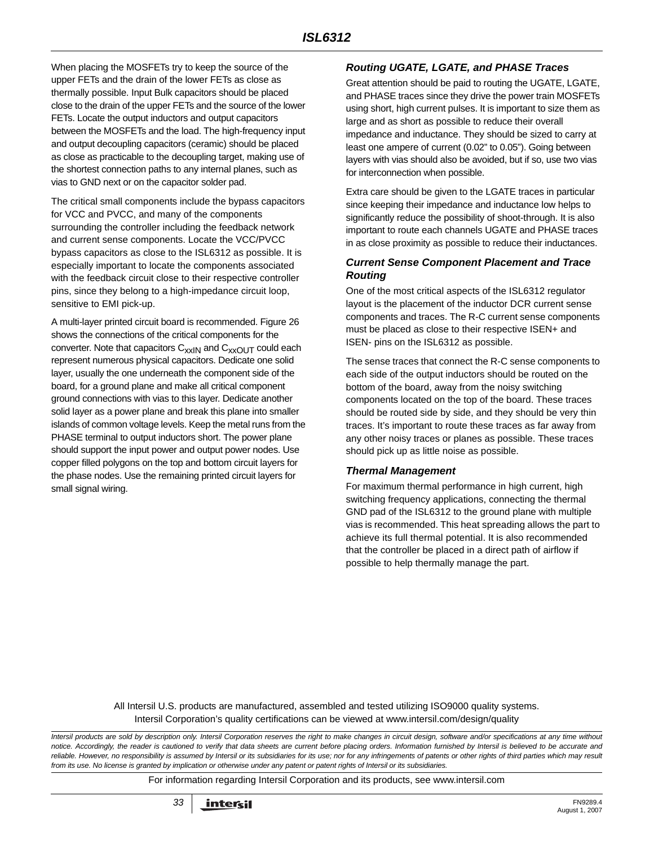When placing the MOSFETs try to keep the source of the upper FETs and the drain of the lower FETs as close as thermally possible. Input Bulk capacitors should be placed close to the drain of the upper FETs and the source of the lower FETs. Locate the output inductors and output capacitors between the MOSFETs and the load. The high-frequency input and output decoupling capacitors (ceramic) should be placed as close as practicable to the decoupling target, making use of the shortest connection paths to any internal planes, such as vias to GND next or on the capacitor solder pad.

The critical small components include the bypass capacitors for VCC and PVCC, and many of the components surrounding the controller including the feedback network and current sense components. Locate the VCC/PVCC bypass capacitors as close to the ISL6312 as possible. It is especially important to locate the components associated with the feedback circuit close to their respective controller pins, since they belong to a high-impedance circuit loop, sensitive to EMI pick-up.

A multi-layer printed circuit board is recommended. Figure [26](#page-33-0) shows the connections of the critical components for the converter. Note that capacitors  $C_{xx}$ <sub>IN</sub> and  $C_{xx}$ <sub>OUT</sub> could each represent numerous physical capacitors. Dedicate one solid layer, usually the one underneath the component side of the board, for a ground plane and make all critical component ground connections with vias to this layer. Dedicate another solid layer as a power plane and break this plane into smaller islands of common voltage levels. Keep the metal runs from the PHASE terminal to output inductors short. The power plane should support the input power and output power nodes. Use copper filled polygons on the top and bottom circuit layers for the phase nodes. Use the remaining printed circuit layers for small signal wiring.

### *Routing UGATE, LGATE, and PHASE Traces*

Great attention should be paid to routing the UGATE, LGATE, and PHASE traces since they drive the power train MOSFETs using short, high current pulses. It is important to size them as large and as short as possible to reduce their overall impedance and inductance. They should be sized to carry at least one ampere of current (0.02" to 0.05"). Going between layers with vias should also be avoided, but if so, use two vias for interconnection when possible.

Extra care should be given to the LGATE traces in particular since keeping their impedance and inductance low helps to significantly reduce the possibility of shoot-through. It is also important to route each channels UGATE and PHASE traces in as close proximity as possible to reduce their inductances.

### *Current Sense Component Placement and Trace Routing*

One of the most critical aspects of the ISL6312 regulator layout is the placement of the inductor DCR current sense components and traces. The R-C current sense components must be placed as close to their respective ISEN+ and ISEN- pins on the ISL6312 as possible.

The sense traces that connect the R-C sense components to each side of the output inductors should be routed on the bottom of the board, away from the noisy switching components located on the top of the board. These traces should be routed side by side, and they should be very thin traces. It's important to route these traces as far away from any other noisy traces or planes as possible. These traces should pick up as little noise as possible.

#### *Thermal Management*

For maximum thermal performance in high current, high switching frequency applications, connecting the thermal GND pad of the ISL6312 to the ground plane with multiple vias is recommended. This heat spreading allows the part to achieve its full thermal potential. It is also recommended that the controller be placed in a direct path of airflow if possible to help thermally manage the part.

All Intersil U.S. products are manufactured, assembled and tested utilizing ISO9000 quality systems. Intersil Corporation's quality certifications can be viewed at www.intersil.com/design/quality

*Intersil products are sold by description only. Intersil Corporation reserves the right to make changes in circuit design, software and/or specifications at any time without notice. Accordingly, the reader is cautioned to verify that data sheets are current before placing orders. Information furnished by Intersil is believed to be accurate and reliable. However, no responsibility is assumed by Intersil or its subsidiaries for its use; nor for any infringements of patents or other rights of third parties which may result from its use. No license is granted by implication or otherwise under any patent or patent rights of Intersil or its subsidiaries.*

For information regarding Intersil Corporation and its products, see www.intersil.com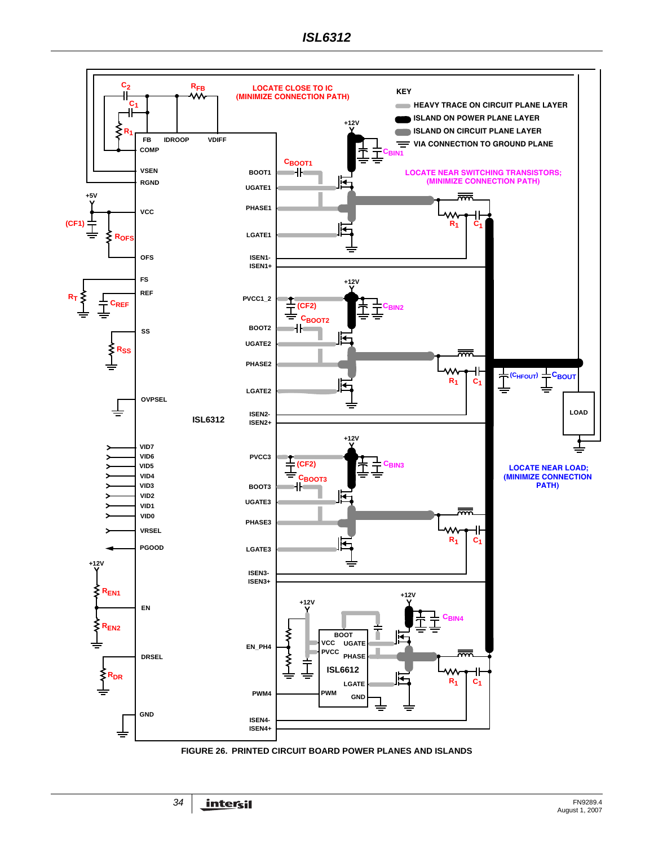<span id="page-33-0"></span>